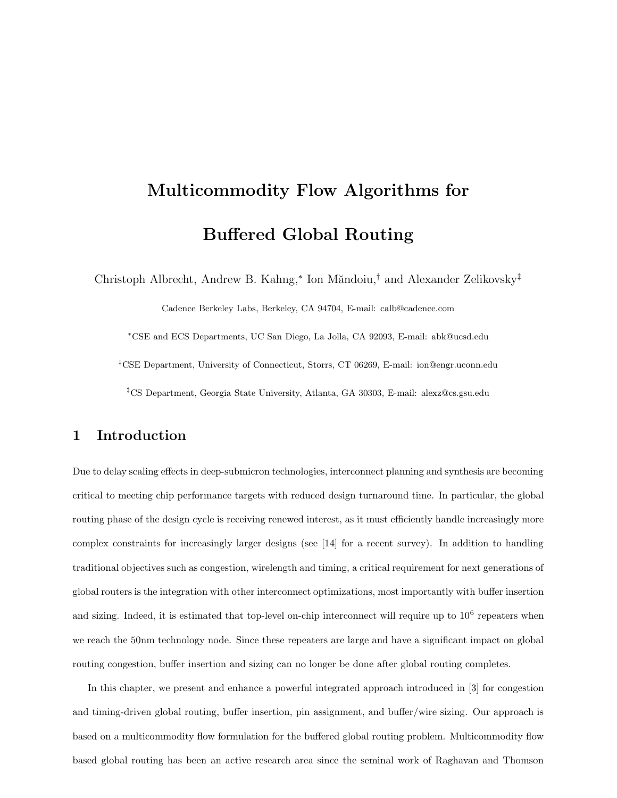# Multicommodity Flow Algorithms for Buffered Global Routing

Christoph Albrecht, Andrew B. Kahng,<sup>\*</sup> Ion Măndoiu,<sup>†</sup> and Alexander Zelikovsky<sup>‡</sup>

Cadence Berkeley Labs, Berkeley, CA 94704, E-mail: calb@cadence.com

<sup>∗</sup>CSE and ECS Departments, UC San Diego, La Jolla, CA 92093, E-mail: abk@ucsd.edu

‡CSE Department, University of Connecticut, Storrs, CT 06269, E-mail: ion@engr.uconn.edu

‡CS Department, Georgia State University, Atlanta, GA 30303, E-mail: alexz@cs.gsu.edu

## 1 Introduction

Due to delay scaling effects in deep-submicron technologies, interconnect planning and synthesis are becoming critical to meeting chip performance targets with reduced design turnaround time. In particular, the global routing phase of the design cycle is receiving renewed interest, as it must efficiently handle increasingly more complex constraints for increasingly larger designs (see [14] for a recent survey). In addition to handling traditional objectives such as congestion, wirelength and timing, a critical requirement for next generations of global routers is the integration with other interconnect optimizations, most importantly with buffer insertion and sizing. Indeed, it is estimated that top-level on-chip interconnect will require up to  $10^6$  repeaters when we reach the 50nm technology node. Since these repeaters are large and have a significant impact on global routing congestion, buffer insertion and sizing can no longer be done after global routing completes.

In this chapter, we present and enhance a powerful integrated approach introduced in [3] for congestion and timing-driven global routing, buffer insertion, pin assignment, and buffer/wire sizing. Our approach is based on a multicommodity flow formulation for the buffered global routing problem. Multicommodity flow based global routing has been an active research area since the seminal work of Raghavan and Thomson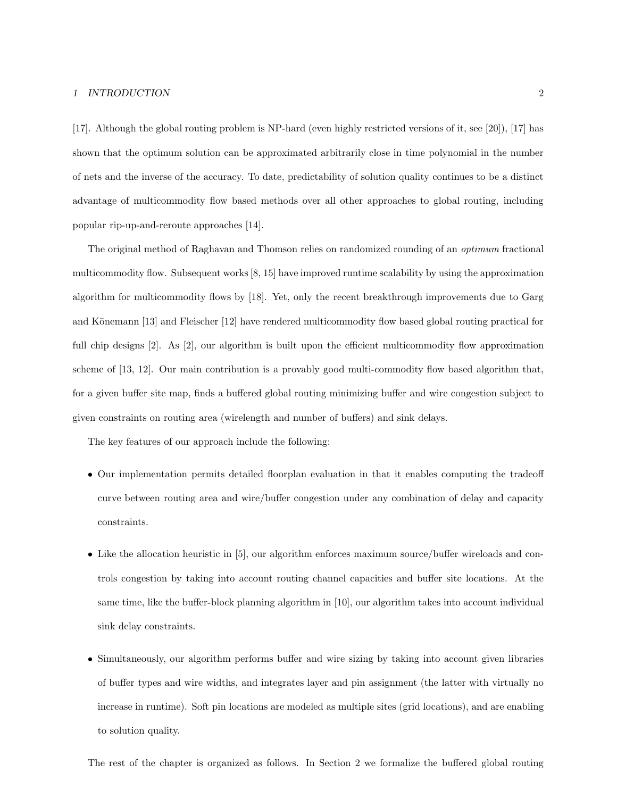#### 1 INTRODUCTION 2

[17]. Although the global routing problem is NP-hard (even highly restricted versions of it, see [20]), [17] has shown that the optimum solution can be approximated arbitrarily close in time polynomial in the number of nets and the inverse of the accuracy. To date, predictability of solution quality continues to be a distinct advantage of multicommodity flow based methods over all other approaches to global routing, including popular rip-up-and-reroute approaches [14].

The original method of Raghavan and Thomson relies on randomized rounding of an optimum fractional multicommodity flow. Subsequent works[8, 15] have improved runtime scalability by using the approximation algorithm for multicommodity flows by [18]. Yet, only the recent breakthrough improvements due to Garg and Könemann [13] and Fleischer [12] have rendered multicommodity flow based global routing practical for full chip designs [2]. As [2], our algorithm is built upon the efficient multicommodity flow approximation scheme of [13, 12]. Our main contribution is a provably good multi-commodity flow based algorithm that, for a given buffer site map, finds a buffered global routing minimizing buffer and wire congestion subject to given constraints on routing area (wirelength and number of buffers) and sink delays.

The key features of our approach include the following:

- Our implementation permits detailed floorplan evaluation in that it enables computing the tradeoff curve between routing area and wire/buffer congestion under any combination of delay and capacity constraints.
- Like the allocation heuristic in [5], our algorithm enforces maximum source/buffer wireloads and controls congestion by taking into account routing channel capacities and buffer site locations. At the same time, like the buffer-block planning algorithm in [10], our algorithm takes into account individual sink delay constraints.
- Simultaneously, our algorithm performs buffer and wire sizing by taking into account given libraries of buffer types and wire widths, and integrates layer and pin assignment (the latter with virtually no increase in runtime). Soft pin locations are modeled as multiple sites (grid locations), and are enabling to solution quality.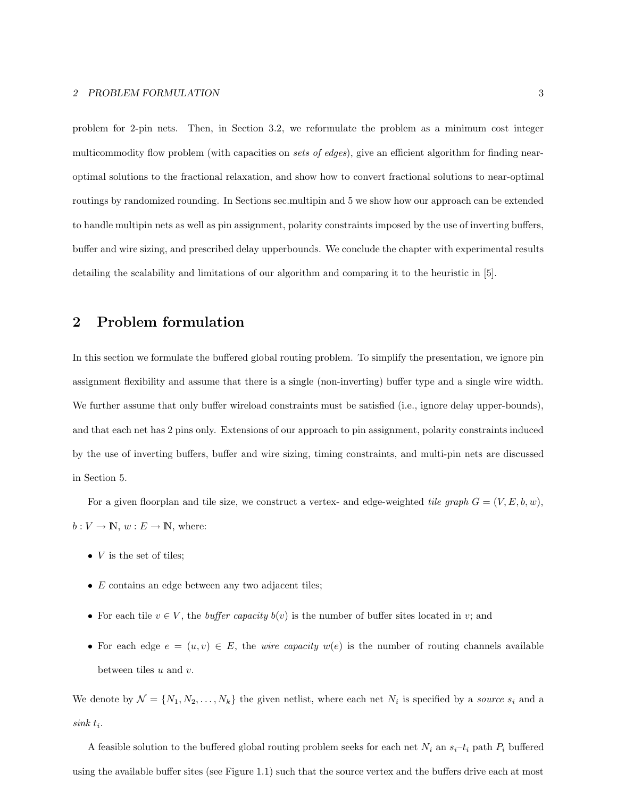problem for 2-pin nets. Then, in Section 3.2, we reformulate the problem as a minimum cost integer multicommodity flow problem (with capacities on *sets of edges*), give an efficient algorithm for finding nearoptimal solutions to the fractional relaxation, and show how to convert fractional solutions to near-optimal routings by randomized rounding. In Sections sec.multipin and 5 we show how our approach can be extended to handle multipin nets as well as pin assignment, polarity constraints imposed by the use of inverting buffers, buffer and wire sizing, and prescribed delay upperbounds. We conclude the chapter with experimental results detailing the scalability and limitations of our algorithm and comparing it to the heuristic in [5].

## 2 Problem formulation

In this section we formulate the buffered global routing problem. To simplify the presentation, we ignore pin assignment flexibility and assume that there is a single (non-inverting) buffer type and a single wire width. We further assume that only buffer wireload constraints must be satisfied (i.e., ignore delay upper-bounds). and that each net has 2 pins only. Extensions of our approach to pin assignment, polarity constraints induced by the use of inverting buffers, buffer and wire sizing, timing constraints, and multi-pin nets are discussed in Section 5.

For a given floorplan and tile size, we construct a vertex- and edge-weighted tile graph  $G = (V, E, b, w)$ ,  $b: V \to \mathbb{N}, w: E \to \mathbb{N}, \text{ where:}$ 

- $V$  is the set of tiles;
- $\bullet$  E contains an edge between any two adjacent tiles;
- For each tile  $v \in V$ , the *buffer capacity*  $b(v)$  is the number of buffer sites located in v; and
- For each edge  $e = (u, v) \in E$ , the *wire capacity*  $w(e)$  is the number of routing channels available between tiles  $u$  and  $v$ .

We denote by  $\mathcal{N} = \{N_1, N_2, \ldots, N_k\}$  the given netlist, where each net  $N_i$  is specified by a *source*  $s_i$  and a  $sink t_i$ .

A feasible solution to the buffered global routing problem seeks for each net  $N_i$  an  $s_i-t_i$  path  $P_i$  buffered using the available buffer sites (see Figure 1.1) such that the source vertex and the buffers drive each at most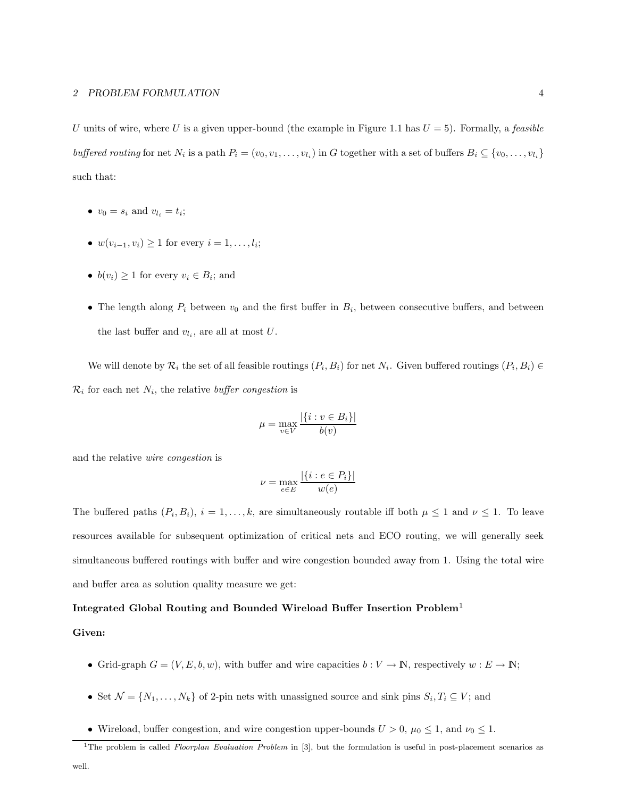U units of wire, where U is a given upper-bound (the example in Figure 1.1 has  $U = 5$ ). Formally, a *feasible* buffered routing for net  $N_i$  is a path  $P_i = (v_0, v_1, \ldots, v_{l_i})$  in G together with a set of buffers  $B_i \subseteq \{v_0, \ldots, v_{l_i}\}$ such that:

- $v_0 = s_i$  and  $v_{l_i} = t_i$ ;
- $w(v_{i-1}, v_i) \ge 1$  for every  $i = 1, ..., l_i$ ;
- $b(v_i) \geq 1$  for every  $v_i \in B_i$ ; and
- The length along  $P_i$  between  $v_0$  and the first buffer in  $B_i$ , between consecutive buffers, and between the last buffer and  $v_{l_i}$ , are all at most U.

We will denote by  $\mathcal{R}_i$  the set of all feasible routings  $(P_i, B_i)$  for net  $N_i$ . Given buffered routings  $(P_i, B_i) \in$  $\mathcal{R}_i$  for each net  $N_i$ , the relative *buffer congestion* is

$$
\mu = \max_{v \in V} \frac{|\{i : v \in B_i\}|}{b(v)}
$$

and the relative wire congestion is

$$
\nu = \max_{e \in E} \frac{|\{i : e \in P_i\}|}{w(e)}
$$

The buffered paths  $(P_i, B_i)$ ,  $i = 1, ..., k$ , are simultaneously routable iff both  $\mu \leq 1$  and  $\nu \leq 1$ . To leave resources available for subsequent optimization of critical nets and ECO routing, we will generally seek simultaneous buffered routings with buffer and wire congestion bounded away from 1. Using the total wire and buffer area as solution quality measure we get:

#### Integrated Global Routing and Bounded Wireload Buffer Insertion Problem<sup>1</sup>

#### Given:

- Grid-graph  $G = (V, E, b, w)$ , with buffer and wire capacities  $b : V \to \mathbb{N}$ , respectively  $w : E \to \mathbb{N}$ ;
- Set  $\mathcal{N} = \{N_1, \ldots, N_k\}$  of 2-pin nets with unassigned source and sink pins  $S_i, T_i \subseteq V$ ; and
- Wireload, buffer congestion, and wire congestion upper-bounds  $U > 0$ ,  $\mu_0 \leq 1$ , and  $\nu_0 \leq 1$ .

<sup>&</sup>lt;sup>1</sup>The problem is called *Floorplan Evaluation Problem* in [3], but the formulation is useful in post-placement scenarios as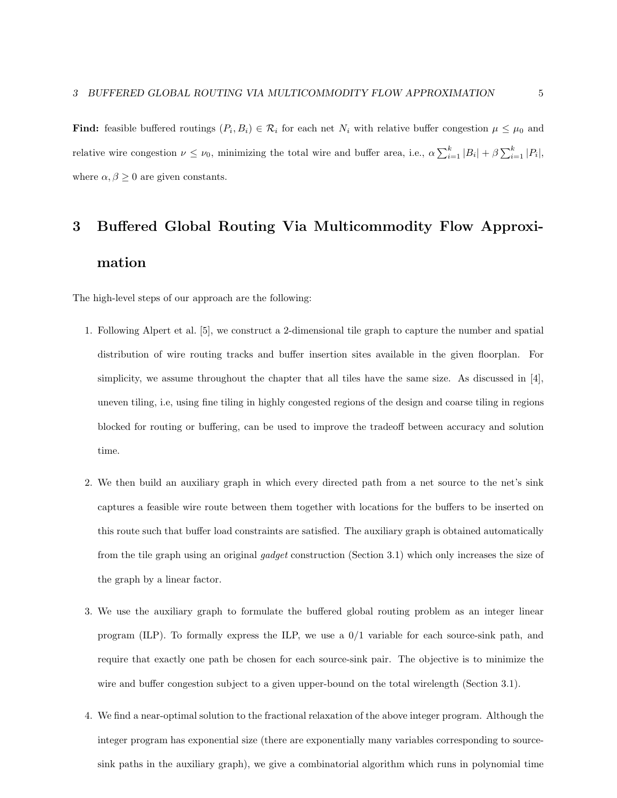**Find:** feasible buffered routings  $(P_i, B_i) \in \mathcal{R}_i$  for each net  $N_i$  with relative buffer congestion  $\mu \leq \mu_0$  and relative wire congestion  $\nu \leq \nu_0$ , minimizing the total wire and buffer area, i.e.,  $\alpha \sum_{i=1}^k |B_i| + \beta \sum_{i=1}^k |P_i|$ , where  $\alpha, \beta \geq 0$  are given constants.

## 3 Buffered Global Routing Via Multicommodity Flow Approximation

The high-level steps of our approach are the following:

- 1. Following Alpert et al. [5], we construct a 2-dimensional tile graph to capture the number and spatial distribution of wire routing tracks and buffer insertion sites available in the given floorplan. For simplicity, we assume throughout the chapter that all tiles have the same size. As discussed in [4], uneven tiling, i.e, using fine tiling in highly congested regions of the design and coarse tiling in regions blocked for routing or buffering, can be used to improve the tradeoff between accuracy and solution time.
- 2. We then build an auxiliary graph in which every directed path from a net source to the net's sink captures a feasible wire route between them together with locations for the buffers to be inserted on this route such that buffer load constraints are satisfied. The auxiliary graph is obtained automatically from the tile graph using an original gadget construction (Section 3.1) which only increases the size of the graph by a linear factor.
- 3. We use the auxiliary graph to formulate the buffered global routing problem as an integer linear program (ILP). To formally express the ILP, we use a 0/1 variable for each source-sink path, and require that exactly one path be chosen for each source-sink pair. The objective is to minimize the wire and buffer congestion subject to a given upper-bound on the total wirelength (Section 3.1).
- 4. We find a near-optimal solution to the fractional relaxation of the above integer program. Although the integer program has exponential size (there are exponentially many variables corresponding to sourcesink paths in the auxiliary graph), we give a combinatorial algorithm which runs in polynomial time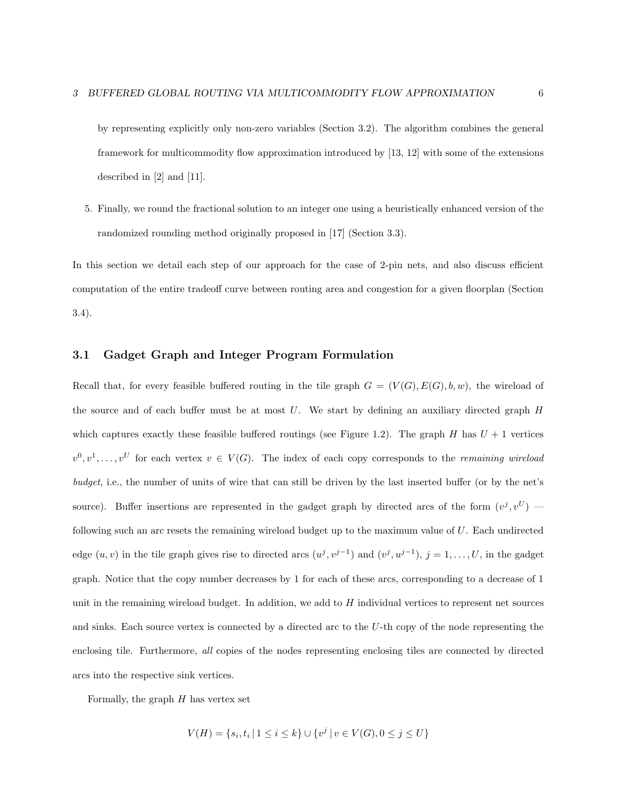by representing explicitly only non-zero variables (Section 3.2). The algorithm combines the general framework for multicommodity flow approximation introduced by [13, 12] with some of the extensions described in [2] and [11].

5. Finally, we round the fractional solution to an integer one using a heuristically enhanced version of the randomized rounding method originally proposed in [17] (Section 3.3).

In this section we detail each step of our approach for the case of 2-pin nets, and also discuss efficient computation of the entire tradeoff curve between routing area and congestion for a given floorplan (Section 3.4).

#### 3.1 Gadget Graph and Integer Program Formulation

Recall that, for every feasible buffered routing in the tile graph  $G = (V(G), E(G), b, w)$ , the wireload of the source and of each buffer must be at most  $U$ . We start by defining an auxiliary directed graph  $H$ which captures exactly these feasible buffered routings (see Figure 1.2). The graph H has  $U + 1$  vertices  $v^0, v^1, \ldots, v^U$  for each vertex  $v \in V(G)$ . The index of each copy corresponds to the *remaining wireload* budget, i.e., the number of units of wire that can still be driven by the last inserted buffer (or by the net's source). Buffer insertions are represented in the gadget graph by directed arcs of the form  $(v^j, v^U)$  following such an arc resets the remaining wireload budget up to the maximum value of U. Each undirected edge  $(u, v)$  in the tile graph gives rise to directed arcs  $(u^j, v^{j-1})$  and  $(v^j, u^{j-1}), j = 1, \ldots, U$ , in the gadget graph. Notice that the copy number decreases by 1 for each of these arcs, corresponding to a decrease of 1 unit in the remaining wireload budget. In addition, we add to  $H$  individual vertices to represent net sources and sinks. Each source vertex is connected by a directed arc to the U-th copy of the node representing the enclosing tile. Furthermore, all copies of the nodes representing enclosing tiles are connected by directed arcs into the respective sink vertices.

Formally, the graph  $H$  has vertex set

$$
V(H) = \{s_i, t_i \mid 1 \le i \le k\} \cup \{v^j \mid v \in V(G), 0 \le j \le U\}
$$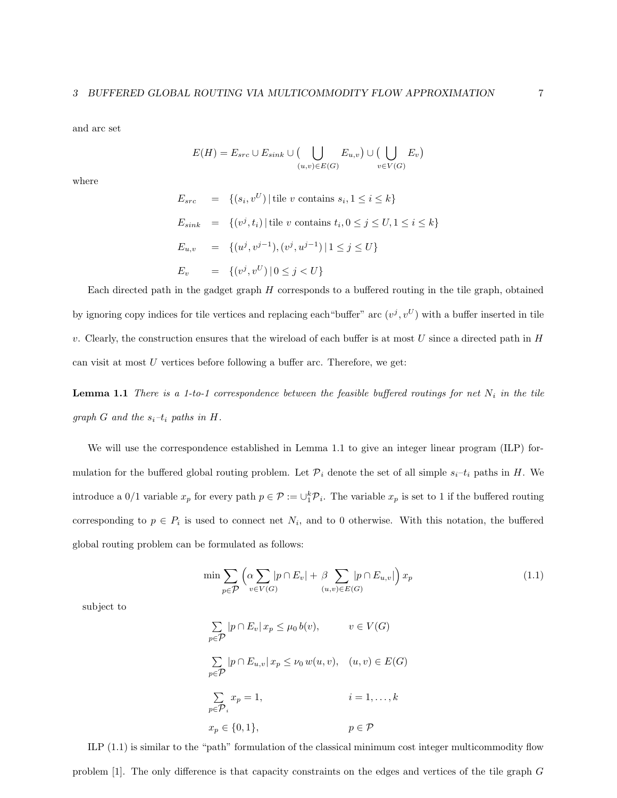and arc set

$$
E(H) = E_{src} \cup E_{sink} \cup \big( \bigcup_{(u,v) \in E(G)} E_{u,v} \big) \cup \big( \bigcup_{v \in V(G)} E_v \big)
$$

where

$$
E_{src} = \{(s_i, v^U) | \text{tile } v \text{ contains } s_i, 1 \le i \le k\}
$$
  
\n
$$
E_{sink} = \{(v^j, t_i) | \text{tile } v \text{ contains } t_i, 0 \le j \le U, 1 \le i \le k\}
$$
  
\n
$$
E_{u,v} = \{(u^j, v^{j-1}), (v^j, u^{j-1}) | 1 \le j \le U\}
$$
  
\n
$$
E_v = \{(v^j, v^U) | 0 \le j < U\}
$$

Each directed path in the gadget graph  $H$  corresponds to a buffered routing in the tile graph, obtained by ignoring copy indices for tile vertices and replacing each "buffer" arc  $(v^j, v^U)$  with a buffer inserted in tile v. Clearly, the construction ensures that the wireload of each buffer is at most  $U$  since a directed path in  $H$ can visit at most  $U$  vertices before following a buffer arc. Therefore, we get:

**Lemma 1.1** There is a 1-to-1 correspondence between the feasible buffered routings for net  $N_i$  in the tile graph G and the  $s_i-t_i$  paths in H.

We will use the correspondence established in Lemma 1.1 to give an integer linear program (ILP) formulation for the buffered global routing problem. Let  $\mathcal{P}_i$  denote the set of all simple  $s_i-t_i$  paths in H. We introduce a  $0/1$  variable  $x_p$  for every path  $p \in \mathcal{P} := \bigcup_{i=1}^{k} \mathcal{P}_i$ . The variable  $x_p$  is set to 1 if the buffered routing corresponding to  $p \in P_i$  is used to connect net  $N_i$ , and to 0 otherwise. With this notation, the buffered global routing problem can be formulated as follows:

$$
\min \sum_{p \in \mathcal{P}} \left( \alpha \sum_{v \in V(G)} |p \cap E_v| + \beta \sum_{(u,v) \in E(G)} |p \cap E_{u,v}| \right) x_p \tag{1.1}
$$

subject to

$$
\sum_{p \in \mathcal{P}} |p \cap E_v| \, x_p \le \mu_0 \, b(v), \qquad v \in V(G)
$$
\n
$$
\sum_{p \in \mathcal{P}} |p \cap E_{u,v}| \, x_p \le \nu_0 \, w(u,v), \quad (u,v) \in E(G)
$$
\n
$$
\sum_{p \in \mathcal{P}_i} x_p = 1, \qquad i = 1, \dots, k
$$
\n
$$
x_p \in \{0, 1\}, \qquad p \in \mathcal{P}
$$

ILP (1.1) is similar to the "path" formulation of the classical minimum cost integer multicommodity flow problem [1]. The only difference is that capacity constraints on the edges and vertices of the tile graph G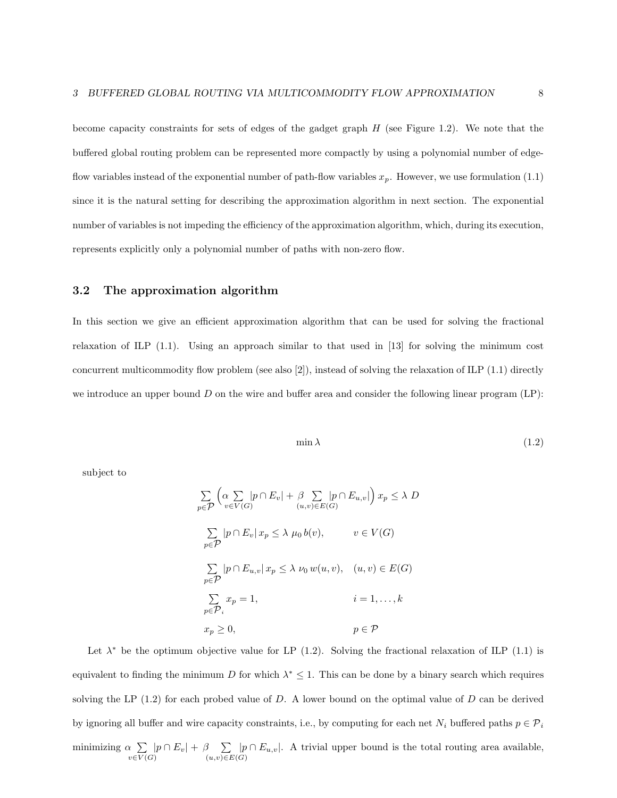become capacity constraints for sets of edges of the gadget graph  $H$  (see Figure 1.2). We note that the buffered global routing problem can be represented more compactly by using a polynomial number of edgeflow variables instead of the exponential number of path-flow variables  $x_p$ . However, we use formulation (1.1) since it is the natural setting for describing the approximation algorithm in next section. The exponential number of variables is not impeding the efficiency of the approximation algorithm, which, during its execution, represents explicitly only a polynomial number of paths with non-zero flow.

#### 3.2 The approximation algorithm

In this section we give an efficient approximation algorithm that can be used for solving the fractional relaxation of ILP (1.1). Using an approach similar to that used in [13] for solving the minimum cost concurrent multicommodity flow problem (see also [2]), instead of solving the relaxation of ILP (1.1) directly we introduce an upper bound  $D$  on the wire and buffer area and consider the following linear program  $(LP)$ :

$$
\min \lambda \tag{1.2}
$$

subject to

$$
\sum_{p \in \mathcal{P}} \left( \alpha \sum_{v \in V(G)} |p \cap E_v| + \beta \sum_{(u,v) \in E(G)} |p \cap E_{u,v}| \right) x_p \le \lambda D
$$
\n
$$
\sum_{p \in \mathcal{P}} |p \cap E_v| x_p \le \lambda \mu_0 b(v), \qquad v \in V(G)
$$
\n
$$
\sum_{p \in \mathcal{P}} |p \cap E_{u,v}| x_p \le \lambda \nu_0 w(u,v), \quad (u,v) \in E(G)
$$
\n
$$
\sum_{p \in \mathcal{P}} x_p = 1, \qquad i = 1, ..., k
$$
\n
$$
x_p \ge 0, \qquad p \in \mathcal{P}
$$

Let  $\lambda^*$  be the optimum objective value for LP (1.2). Solving the fractional relaxation of ILP (1.1) is equivalent to finding the minimum D for which  $\lambda^* \leq 1$ . This can be done by a binary search which requires solving the LP  $(1.2)$  for each probed value of D. A lower bound on the optimal value of D can be derived by ignoring all buffer and wire capacity constraints, i.e., by computing for each net  $N_i$  buffered paths  $p \in \mathcal{P}_i$ minimizing  $\alpha \sum$  $\chi \sum_{v \in V(G)} |p \cap E_v| + \beta \sum_{(u,v) \in B}$  $\beta \sum_{(u,v)\in E(G)} |p \cap E_{u,v}|.$  A trivial upper bound is the total routing area available,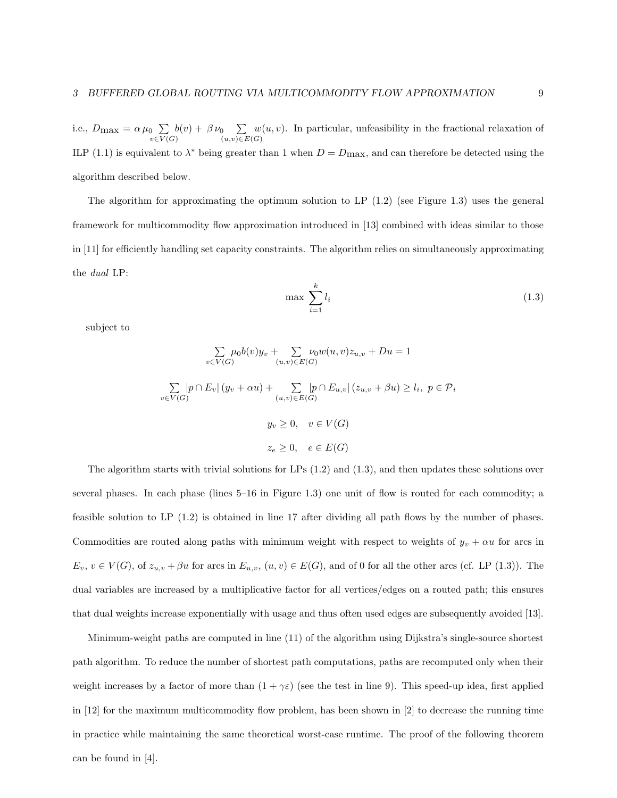i.e.,  $D_{\text{max}} = \alpha \mu_0 \sum$  $\partial_0 \sum_{v \in V(G)} b(v) + \beta \nu_0 \sum_{(u,v) \in B}$  $(u,v) \in E(G)$  $w(u, v)$ . In particular, unfeasibility in the fractional relaxation of ILP (1.1) is equivalent to  $\lambda^*$  being greater than 1 when  $D = D_{\text{max}}$ , and can therefore be detected using the algorithm described below.

The algorithm for approximating the optimum solution to LP  $(1.2)$  (see Figure 1.3) uses the general framework for multicommodity flow approximation introduced in [13] combined with ideas similar to those in [11] for efficiently handling set capacity constraints. The algorithm relies on simultaneously approximating the dual LP:

$$
\max \sum_{i=1}^{k} l_i \tag{1.3}
$$

subject to

$$
\sum_{v \in V(G)} \mu_0 b(v) y_v + \sum_{(u,v) \in E(G)} \nu_0 w(u,v) z_{u,v} + Du = 1
$$
  

$$
\sum_{v \in V(G)} |p \cap E_v| (y_v + \alpha u) + \sum_{(u,v) \in E(G)} |p \cap E_{u,v}| (z_{u,v} + \beta u) \ge l_i, \ p \in \mathcal{P}_i
$$
  

$$
y_v \ge 0, \quad v \in V(G)
$$
  

$$
z_e \ge 0, \quad e \in E(G)
$$

The algorithm starts with trivial solutions for LPs  $(1.2)$  and  $(1.3)$ , and then updates these solutions over several phases. In each phase (lines 5–16 in Figure 1.3) one unit of flow is routed for each commodity; a feasible solution to LP (1.2) is obtained in line 17 after dividing all path flows by the number of phases. Commodities are routed along paths with minimum weight with respect to weights of  $y_v + \alpha u$  for arcs in  $E_v, v \in V(G)$ , of  $z_{u,v} + \beta u$  for arcs in  $E_{u,v}$ ,  $(u, v) \in E(G)$ , and of 0 for all the other arcs (cf. LP (1.3)). The dual variables are increased by a multiplicative factor for all vertices/edges on a routed path; this ensures that dual weights increase exponentially with usage and thus often used edges are subsequently avoided [13].

Minimum-weight paths are computed in line (11) of the algorithm using Dijkstra's single-source shortest path algorithm. To reduce the number of shortest path computations, paths are recomputed only when their weight increases by a factor of more than  $(1 + \gamma \varepsilon)$  (see the test in line 9). This speed-up idea, first applied in [12] for the maximum multicommodity flow problem, has been shown in [2] to decrease the running time in practice while maintaining the same theoretical worst-case runtime. The proof of the following theorem can be found in [4].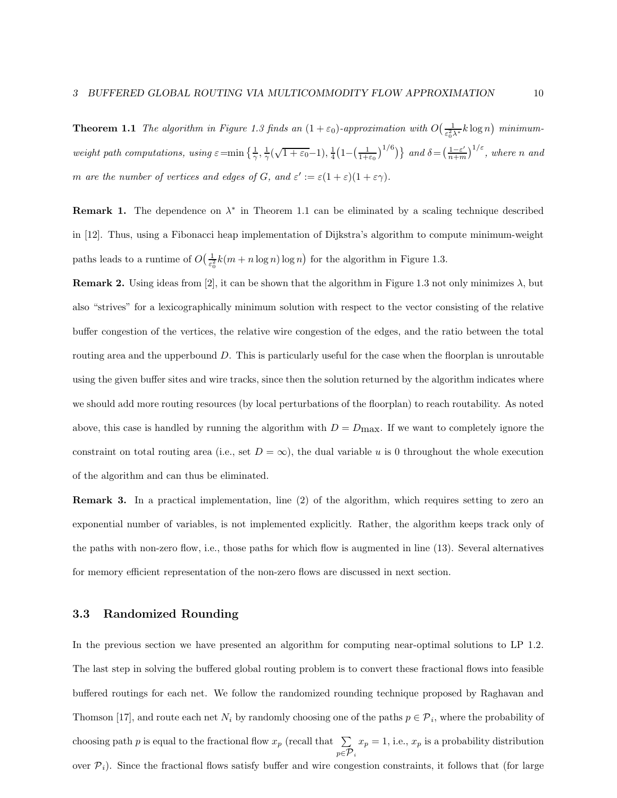**Theorem 1.1** The algorithm in Figure 1.3 finds an  $(1+\varepsilon_0)$ -approximation with  $O\left(\frac{1}{\varepsilon_0^2\lambda^*}k\log n\right)$  minimumweight path computations, using  $\varepsilon = \min\left\{\frac{1}{\gamma},\frac{1}{\gamma}(\sqrt{1+\varepsilon_0}-1),\frac{1}{4}\left(1-\left(\frac{1}{1+\varepsilon_0}\right)^{1/6}\right)\right\}$  and  $\delta = \left(\frac{1-\varepsilon'}{n+m}\right)$  $\frac{1-\varepsilon'}{n+m}$  $\big)^{1/\varepsilon}$ , where n and m are the number of vertices and edges of G, and  $\varepsilon' := \varepsilon (1 + \varepsilon)(1 + \varepsilon \gamma)$ .

**Remark 1.** The dependence on  $\lambda^*$  in Theorem 1.1 can be eliminated by a scaling technique described in [12]. Thus, using a Fibonacci heap implementation of Dijkstra's algorithm to compute minimum-weight paths leads to a runtime of  $O\left(\frac{1}{\epsilon_0^2}k(m+n\log n)\log n\right)$  for the algorithm in Figure 1.3.

**Remark 2.** Using ideas from [2], it can be shown that the algorithm in Figure 1.3 not only minimizes  $\lambda$ , but also "strives" for a lexicographically minimum solution with respect to the vector consisting of the relative buffer congestion of the vertices, the relative wire congestion of the edges, and the ratio between the total routing area and the upperbound D. This is particularly useful for the case when the floorplan is unroutable using the given buffer sites and wire tracks, since then the solution returned by the algorithm indicates where we should add more routing resources (by local perturbations of the floorplan) to reach routability. As noted above, this case is handled by running the algorithm with  $D = D_{\text{max}}$ . If we want to completely ignore the constraint on total routing area (i.e., set  $D = \infty$ ), the dual variable u is 0 throughout the whole execution of the algorithm and can thus be eliminated.

Remark 3. In a practical implementation, line (2) of the algorithm, which requires setting to zero an exponential number of variables, is not implemented explicitly. Rather, the algorithm keeps track only of the paths with non-zero flow, i.e., those paths for which flow is augmented in line (13). Several alternatives for memory efficient representation of the non-zero flows are discussed in next section.

#### 3.3 Randomized Rounding

In the previous section we have presented an algorithm for computing near-optimal solutions to LP 1.2. The last step in solving the buffered global routing problem is to convert these fractional flows into feasible buffered routings for each net. We follow the randomized rounding technique proposed by Raghavan and Thomson [17], and route each net  $N_i$  by randomly choosing one of the paths  $p \in \mathcal{P}_i$ , where the probability of choosing path p is equal to the fractional flow  $x_p$  (recall that  $\sum$  $p \in {\cal P}_i$  $x_p = 1$ , i.e.,  $x_p$  is a probability distribution over  $\mathcal{P}_i$ ). Since the fractional flows satisfy buffer and wire congestion constraints, it follows that (for large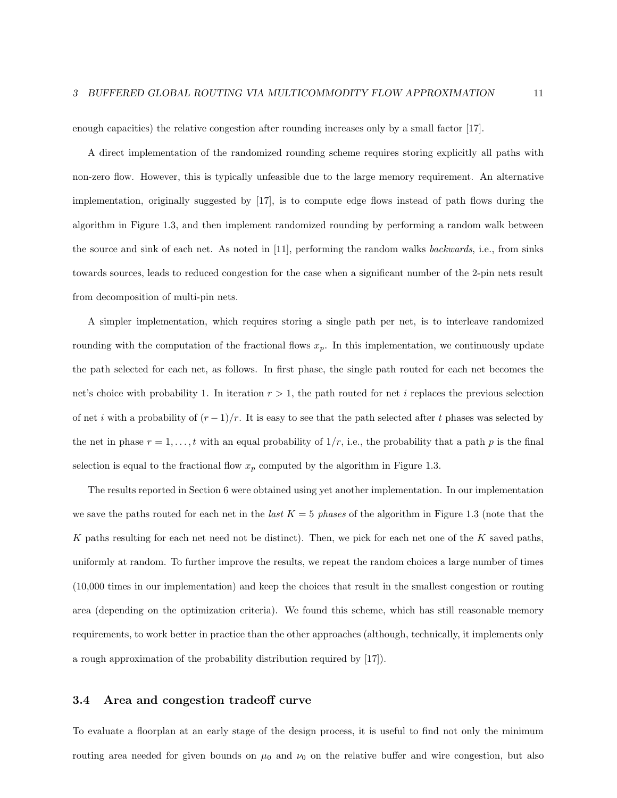enough capacities) the relative congestion after rounding increases only by a small factor [17].

A direct implementation of the randomized rounding scheme requires storing explicitly all paths with non-zero flow. However, this is typically unfeasible due to the large memory requirement. An alternative implementation, originally suggested by [17], is to compute edge flows instead of path flows during the algorithm in Figure 1.3, and then implement randomized rounding by performing a random walk between the source and sink of each net. As noted in [11], performing the random walks backwards, i.e., from sinks towards sources, leads to reduced congestion for the case when a significant number of the 2-pin nets result from decomposition of multi-pin nets.

A simpler implementation, which requires storing a single path per net, is to interleave randomized rounding with the computation of the fractional flows  $x_p$ . In this implementation, we continuously update the path selected for each net, as follows. In first phase, the single path routed for each net becomes the net's choice with probability 1. In iteration  $r > 1$ , the path routed for net i replaces the previous selection of net i with a probability of  $(r-1)/r$ . It is easy to see that the path selected after t phases was selected by the net in phase  $r = 1, \ldots, t$  with an equal probability of  $1/r$ , i.e., the probability that a path p is the final selection is equal to the fractional flow  $x_p$  computed by the algorithm in Figure 1.3.

The results reported in Section 6 were obtained using yet another implementation. In our implementation we save the paths routed for each net in the *last*  $K = 5$  phases of the algorithm in Figure 1.3 (note that the K paths resulting for each net need not be distinct). Then, we pick for each net one of the  $K$  saved paths, uniformly at random. To further improve the results, we repeat the random choices a large number of times (10,000 times in our implementation) and keep the choices that result in the smallest congestion or routing area (depending on the optimization criteria). We found this scheme, which has still reasonable memory requirements, to work better in practice than the other approaches (although, technically, it implements only a rough approximation of the probability distribution required by [17]).

#### 3.4 Area and congestion tradeoff curve

To evaluate a floorplan at an early stage of the design process, it is useful to find not only the minimum routing area needed for given bounds on  $\mu_0$  and  $\nu_0$  on the relative buffer and wire congestion, but also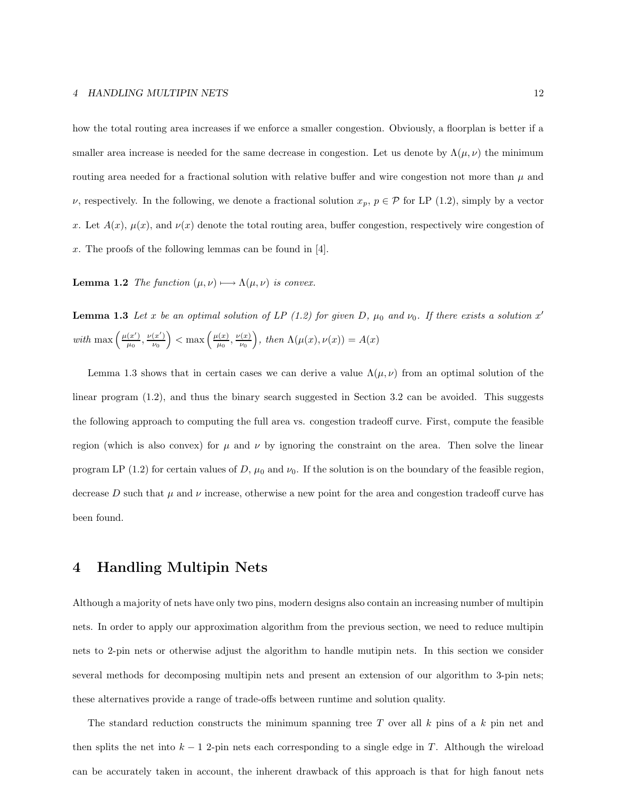how the total routing area increases if we enforce a smaller congestion. Obviously, a floorplan is better if a smaller area increase is needed for the same decrease in congestion. Let us denote by  $\Lambda(\mu, \nu)$  the minimum routing area needed for a fractional solution with relative buffer and wire congestion not more than  $\mu$  and  $\nu$ , respectively. In the following, we denote a fractional solution  $x_p$ ,  $p \in \mathcal{P}$  for LP (1.2), simply by a vector x. Let  $A(x)$ ,  $\mu(x)$ , and  $\nu(x)$  denote the total routing area, buffer congestion, respectively wire congestion of x. The proofs of the following lemmas can be found in [4].

**Lemma 1.2** The function  $(\mu, \nu) \rightarrow \Lambda(\mu, \nu)$  is convex.

**Lemma 1.3** Let x be an optimal solution of LP (1.2) for given D,  $\mu_0$  and  $\nu_0$ . If there exists a solution  $x'$ with max  $\left(\frac{\mu(x')}{\mu(x)}\right)$  $\frac{(x')}{\mu_0}, \frac{\nu(x')}{\nu_0}$  $\left(\frac{x'}{\nu_0}\right) < \max\left(\frac{\mu(x)}{\mu_0}\right)$  $\frac{\mu(x)}{\mu_0}, \frac{\nu(x)}{\nu_0}$  $\left(\frac{x}{\nu_0}\right)$ , then  $\Lambda(\mu(x), \nu(x)) = A(x)$ 

Lemma 1.3 shows that in certain cases we can derive a value  $\Lambda(\mu,\nu)$  from an optimal solution of the linear program (1.2), and thus the binary search suggested in Section 3.2 can be avoided. This suggests the following approach to computing the full area vs. congestion tradeoff curve. First, compute the feasible region (which is also convex) for  $\mu$  and  $\nu$  by ignoring the constraint on the area. Then solve the linear program LP (1.2) for certain values of D,  $\mu_0$  and  $\nu_0$ . If the solution is on the boundary of the feasible region, decrease D such that  $\mu$  and  $\nu$  increase, otherwise a new point for the area and congestion tradeoff curve has been found.

## 4 Handling Multipin Nets

Although a majority of nets have only two pins, modern designs also contain an increasing number of multipin nets. In order to apply our approximation algorithm from the previous section, we need to reduce multipin nets to 2-pin nets or otherwise adjust the algorithm to handle mutipin nets. In this section we consider several methods for decomposing multipin nets and present an extension of our algorithm to 3-pin nets; these alternatives provide a range of trade-offs between runtime and solution quality.

The standard reduction constructs the minimum spanning tree T over all  $k$  pins of a  $k$  pin net and then splits the net into  $k - 1$  2-pin nets each corresponding to a single edge in T. Although the wireload can be accurately taken in account, the inherent drawback of this approach is that for high fanout nets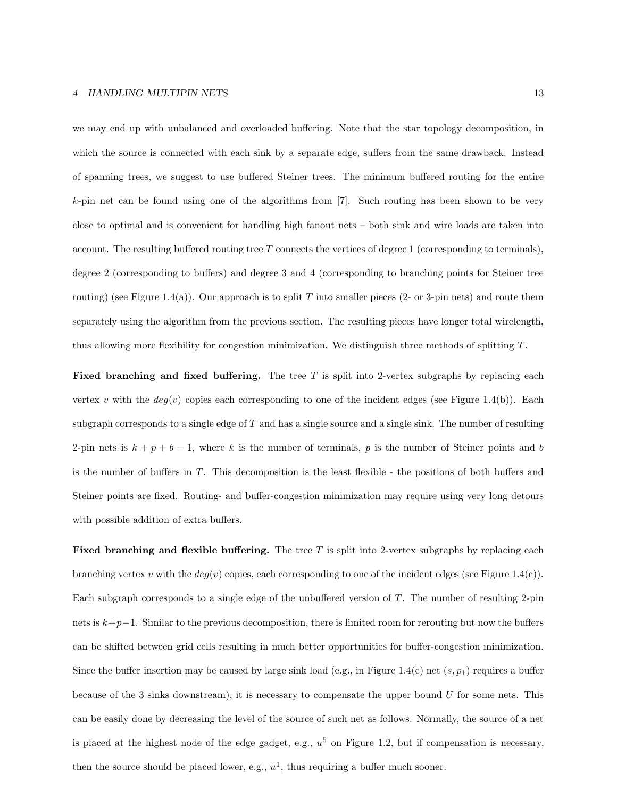we may end up with unbalanced and overloaded buffering. Note that the star topology decomposition, in which the source is connected with each sink by a separate edge, suffers from the same drawback. Instead of spanning trees, we suggest to use buffered Steiner trees. The minimum buffered routing for the entire k-pin net can be found using one of the algorithms from [7]. Such routing has been shown to be very close to optimal and is convenient for handling high fanout nets – both sink and wire loads are taken into account. The resulting buffered routing tree T connects the vertices of degree 1 (corresponding to terminals), degree 2 (corresponding to buffers) and degree 3 and 4 (corresponding to branching points for Steiner tree routing) (see Figure 1.4(a)). Our approach is to split T into smaller pieces (2- or 3-pin nets) and route them separately using the algorithm from the previous section. The resulting pieces have longer total wirelength, thus allowing more flexibility for congestion minimization. We distinguish three methods of splitting T.

**Fixed branching and fixed buffering.** The tree  $T$  is split into 2-vertex subgraphs by replacing each vertex v with the  $deg(v)$  copies each corresponding to one of the incident edges (see Figure 1.4(b)). Each subgraph corresponds to a single edge of  $T$  and has a single source and a single sink. The number of resulting 2-pin nets is  $k + p + b - 1$ , where k is the number of terminals, p is the number of Steiner points and b is the number of buffers in T. This decomposition is the least flexible - the positions of both buffers and Steiner points are fixed. Routing- and buffer-congestion minimization may require using very long detours with possible addition of extra buffers.

**Fixed branching and flexible buffering.** The tree T is split into 2-vertex subgraphs by replacing each branching vertex v with the  $deg(v)$  copies, each corresponding to one of the incident edges (see Figure 1.4(c)). Each subgraph corresponds to a single edge of the unbuffered version of T. The number of resulting 2-pin nets is k+p−1. Similar to the previous decomposition, there is limited room for rerouting but now the buffers can be shifted between grid cells resulting in much better opportunities for buffer-congestion minimization. Since the buffer insertion may be caused by large sink load (e.g., in Figure 1.4(c) net  $(s, p_1)$  requires a buffer because of the 3 sinks downstream), it is necessary to compensate the upper bound  $U$  for some nets. This can be easily done by decreasing the level of the source of such net as follows. Normally, the source of a net is placed at the highest node of the edge gadget, e.g.,  $u^5$  on Figure 1.2, but if compensation is necessary, then the source should be placed lower, e.g.,  $u^1$ , thus requiring a buffer much sooner.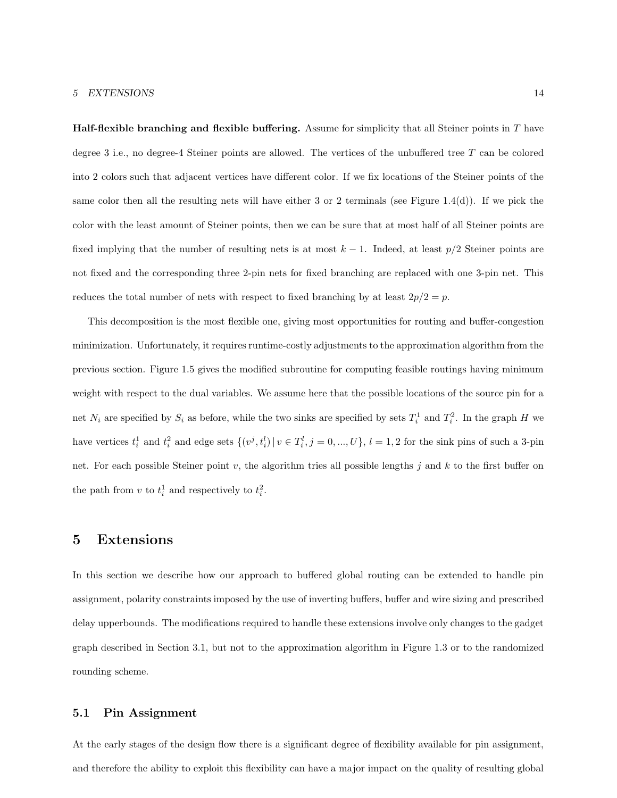**Half-flexible branching and flexible buffering.** Assume for simplicity that all Steiner points in  $T$  have degree 3 i.e., no degree-4 Steiner points are allowed. The vertices of the unbuffered tree  $T$  can be colored into 2 colors such that adjacent vertices have different color. If we fix locations of the Steiner points of the same color then all the resulting nets will have either 3 or 2 terminals (see Figure 1.4(d)). If we pick the color with the least amount of Steiner points, then we can be sure that at most half of all Steiner points are fixed implying that the number of resulting nets is at most  $k - 1$ . Indeed, at least  $p/2$  Steiner points are not fixed and the corresponding three 2-pin nets for fixed branching are replaced with one 3-pin net. This reduces the total number of nets with respect to fixed branching by at least  $2p/2 = p$ .

This decomposition is the most flexible one, giving most opportunities for routing and buffer-congestion minimization. Unfortunately, it requires runtime-costly adjustments to the approximation algorithm from the previous section. Figure 1.5 gives the modified subroutine for computing feasible routings having minimum weight with respect to the dual variables. We assume here that the possible locations of the source pin for a net  $N_i$  are specified by  $S_i$  as before, while the two sinks are specified by sets  $T_i^1$  and  $T_i^2$ . In the graph H we have vertices  $t_i^1$  and  $t_i^2$  and edge sets  $\{(v^j, t_i^l) | v \in T_i^l, j = 0, ..., U\}, l = 1, 2$  for the sink pins of such a 3-pin net. For each possible Steiner point v, the algorithm tries all possible lengths j and k to the first buffer on the path from  $v$  to  $t_i^1$  and respectively to  $t_i^2$ .

## 5 Extensions

In this section we describe how our approach to buffered global routing can be extended to handle pin assignment, polarity constraints imposed by the use of inverting buffers, buffer and wire sizing and prescribed delay upperbounds. The modifications required to handle these extensions involve only changes to the gadget graph described in Section 3.1, but not to the approximation algorithm in Figure 1.3 or to the randomized rounding scheme.

#### 5.1 Pin Assignment

At the early stages of the design flow there is a significant degree of flexibility available for pin assignment. and therefore the ability to exploit this flexibility can have a major impact on the quality of resulting global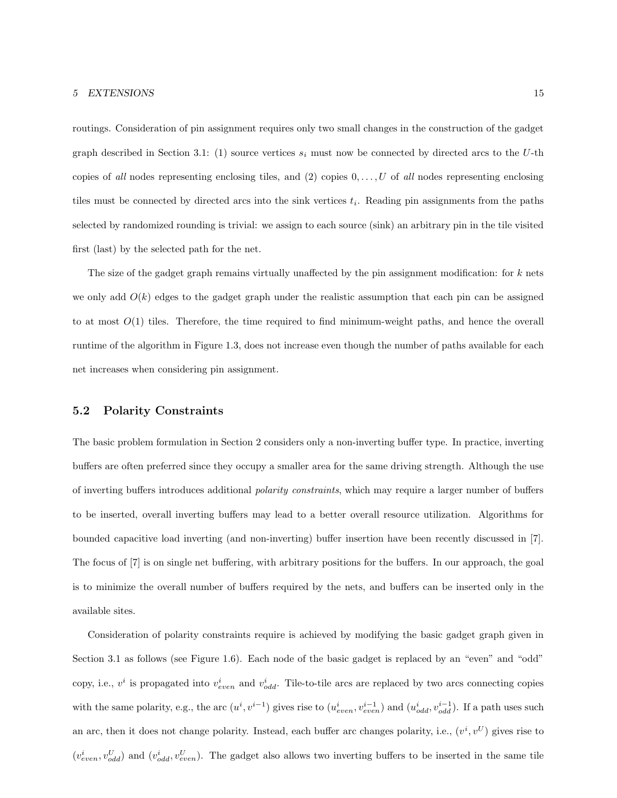routings. Consideration of pin assignment requires only two small changes in the construction of the gadget graph described in Section 3.1: (1) source vertices  $s_i$  must now be connected by directed arcs to the U-th copies of all nodes representing enclosing tiles, and (2) copies  $0, \ldots, U$  of all nodes representing enclosing tiles must be connected by directed arcs into the sink vertices  $t_i$ . Reading pin assignments from the paths selected by randomized rounding is trivial: we assign to each source (sink) an arbitrary pin in the tile visited first (last) by the selected path for the net.

The size of the gadget graph remains virtually unaffected by the pin assignment modification: for  $k$  nets we only add  $O(k)$  edges to the gadget graph under the realistic assumption that each pin can be assigned to at most  $O(1)$  tiles. Therefore, the time required to find minimum-weight paths, and hence the overall runtime of the algorithm in Figure 1.3, does not increase even though the number of paths available for each net increases when considering pin assignment.

#### 5.2 Polarity Constraints

The basic problem formulation in Section 2 considers only a non-inverting buffer type. In practice, inverting buffers are often preferred since they occupy a smaller area for the same driving strength. Although the use of inverting buffers introduces additional polarity constraints, which may require a larger number of buffers to be inserted, overall inverting buffers may lead to a better overall resource utilization. Algorithms for bounded capacitive load inverting (and non-inverting) buffer insertion have been recently discussed in [7]. The focus of [7] is on single net buffering, with arbitrary positions for the buffers. In our approach, the goal is to minimize the overall number of buffers required by the nets, and buffers can be inserted only in the available sites.

Consideration of polarity constraints require is achieved by modifying the basic gadget graph given in Section 3.1 as follows (see Figure 1.6). Each node of the basic gadget is replaced by an "even" and "odd" copy, i.e.,  $v^i$  is propagated into  $v_{even}^i$  and  $v_{odd}^i$ . Tile-to-tile arcs are replaced by two arcs connecting copies with the same polarity, e.g., the arc  $(u^i, v^{i-1})$  gives rise to  $(u_{even}^i, v_{even}^{i-1})$  and  $(u_{odd}^i, v_{odd}^{i-1})$ . If a path uses such an arc, then it does not change polarity. Instead, each buffer arc changes polarity, i.e.,  $(v^i, v^U)$  gives rise to  $(v_{even}^i, v_{odd}^U)$  and  $(v_{odd}^i, v_{even}^U)$ . The gadget also allows two inverting buffers to be inserted in the same tile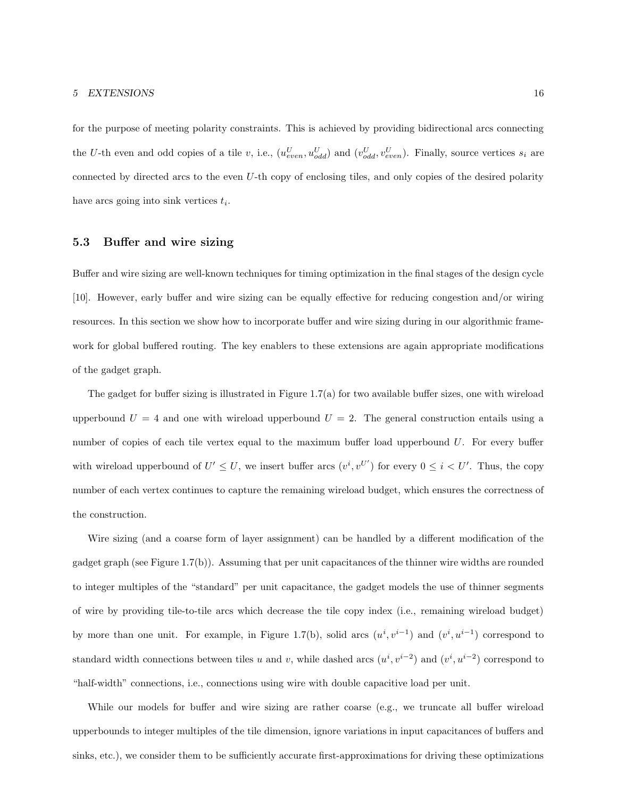for the purpose of meeting polarity constraints. This is achieved by providing bidirectional arcs connecting the U-th even and odd copies of a tile v, i.e.,  $(u_{even}^U, u_{odd}^U)$  and  $(v_{odd}^U, v_{even}^U)$ . Finally, source vertices  $s_i$  are connected by directed arcs to the even U-th copy of enclosing tiles, and only copies of the desired polarity have arcs going into sink vertices  $t_i$ .

#### 5.3 Buffer and wire sizing

Buffer and wire sizing are well-known techniques for timing optimization in the final stages of the design cycle [10]. However, early buffer and wire sizing can be equally effective for reducing congestion and/or wiring resources. In this section we show how to incorporate buffer and wire sizing during in our algorithmic framework for global buffered routing. The key enablers to these extensions are again appropriate modifications of the gadget graph.

The gadget for buffer sizing is illustrated in Figure 1.7(a) for two available buffer sizes, one with wireload upperbound  $U = 4$  and one with wireload upperbound  $U = 2$ . The general construction entails using a number of copies of each tile vertex equal to the maximum buffer load upperbound U. For every buffer with wireload upperbound of  $U' \leq U$ , we insert buffer arcs  $(v^i, v^{U'})$  for every  $0 \leq i \lt U'$ . Thus, the copy number of each vertex continues to capture the remaining wireload budget, which ensures the correctness of the construction.

Wire sizing (and a coarse form of layer assignment) can be handled by a different modification of the gadget graph (see Figure 1.7(b)). Assuming that per unit capacitances of the thinner wire widths are rounded to integer multiples of the "standard" per unit capacitance, the gadget models the use of thinner segments of wire by providing tile-to-tile arcs which decrease the tile copy index (i.e., remaining wireload budget) by more than one unit. For example, in Figure 1.7(b), solid arcs  $(u^i, v^{i-1})$  and  $(v^i, u^{i-1})$  correspond to standard width connections between tiles u and v, while dashed arcs  $(u^i, v^{i-2})$  and  $(v^i, u^{i-2})$  correspond to "half-width" connections, i.e., connections using wire with double capacitive load per unit.

While our models for buffer and wire sizing are rather coarse (e.g., we truncate all buffer wireload upperbounds to integer multiples of the tile dimension, ignore variations in input capacitances of buffers and sinks, etc.), we consider them to be sufficiently accurate first-approximations for driving these optimizations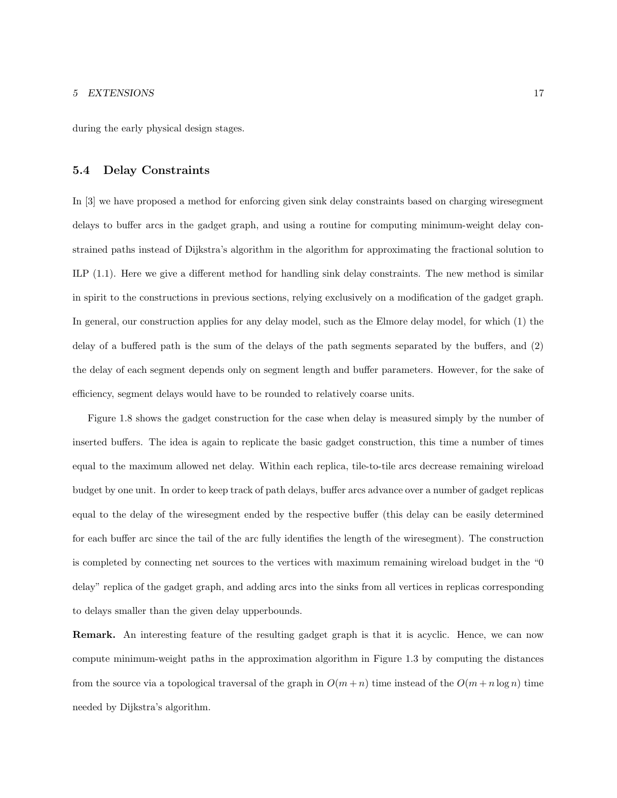during the early physical design stages.

#### 5.4 Delay Constraints

In [3] we have proposed a method for enforcing given sink delay constraints based on charging wiresegment delays to buffer arcs in the gadget graph, and using a routine for computing minimum-weight delay constrained paths instead of Dijkstra's algorithm in the algorithm for approximating the fractional solution to ILP (1.1). Here we give a different method for handling sink delay constraints. The new method is similar in spirit to the constructions in previous sections, relying exclusively on a modification of the gadget graph. In general, our construction applies for any delay model, such as the Elmore delay model, for which (1) the delay of a buffered path is the sum of the delays of the path segments separated by the buffers, and (2) the delay of each segment depends only on segment length and buffer parameters. However, for the sake of efficiency, segment delays would have to be rounded to relatively coarse units.

Figure 1.8 shows the gadget construction for the case when delay is measured simply by the number of inserted buffers. The idea is again to replicate the basic gadget construction, this time a number of times equal to the maximum allowed net delay. Within each replica, tile-to-tile arcs decrease remaining wireload budget by one unit. In order to keep track of path delays, buffer arcs advance over a number of gadget replicas equal to the delay of the wiresegment ended by the respective buffer (this delay can be easily determined for each buffer arc since the tail of the arc fully identifies the length of the wiresegment). The construction is completed by connecting net sources to the vertices with maximum remaining wireload budget in the "0 delay" replica of the gadget graph, and adding arcs into the sinks from all vertices in replicas corresponding to delays smaller than the given delay upperbounds.

Remark. An interesting feature of the resulting gadget graph is that it is acyclic. Hence, we can now compute minimum-weight paths in the approximation algorithm in Figure 1.3 by computing the distances from the source via a topological traversal of the graph in  $O(m+n)$  time instead of the  $O(m+n \log n)$  time needed by Dijkstra's algorithm.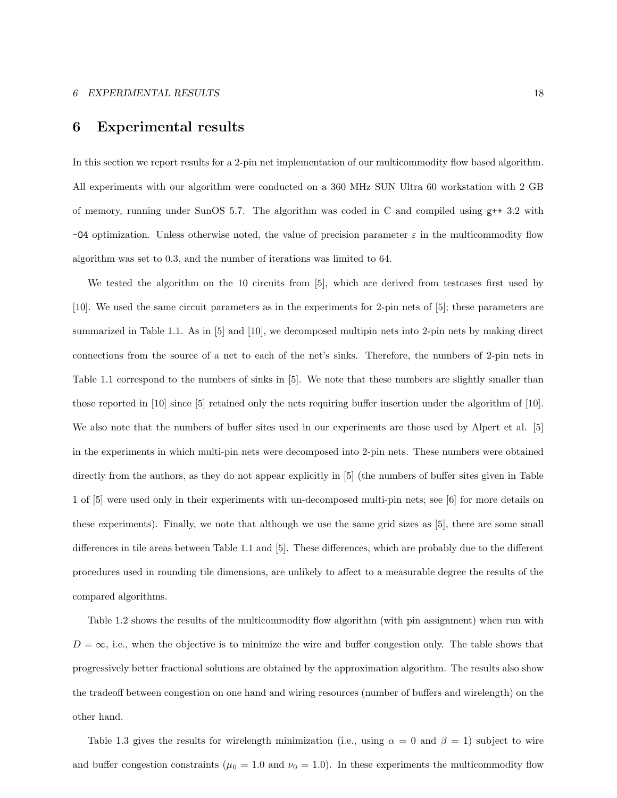## 6 Experimental results

In this section we report results for a 2-pin net implementation of our multicommodity flow based algorithm. All experiments with our algorithm were conducted on a 360 MHz SUN Ultra 60 workstation with 2 GB of memory, running under SunOS 5.7. The algorithm was coded in C and compiled using g++ 3.2 with  $-04$  optimization. Unless otherwise noted, the value of precision parameter  $\varepsilon$  in the multicommodity flow algorithm was set to 0.3, and the number of iterations was limited to 64.

We tested the algorithm on the 10 circuits from [5], which are derived from testcases first used by [10]. We used the same circuit parameters as in the experiments for 2-pin nets of [5]; these parameters are summarized in Table 1.1. As in [5] and [10], we decomposed multipin nets into 2-pin nets by making direct connections from the source of a net to each of the net's sinks. Therefore, the numbers of 2-pin nets in Table 1.1 correspond to the numbers of sinks in [5]. We note that these numbers are slightly smaller than those reported in [10] since [5] retained only the nets requiring buffer insertion under the algorithm of [10]. We also note that the numbers of buffer sites used in our experiments are those used by Alpert et al. [5] in the experiments in which multi-pin nets were decomposed into 2-pin nets. These numbers were obtained directly from the authors, as they do not appear explicitly in [5] (the numbers of buffer sites given in Table 1 of [5] were used only in their experiments with un-decomposed multi-pin nets; see [6] for more details on these experiments). Finally, we note that although we use the same grid sizes as [5], there are some small differences in tile areas between Table 1.1 and [5]. These differences, which are probably due to the different procedures used in rounding tile dimensions, are unlikely to affect to a measurable degree the results of the compared algorithms.

Table 1.2 shows the results of the multicommodity flow algorithm (with pin assignment) when run with  $D = \infty$ , i.e., when the objective is to minimize the wire and buffer congestion only. The table shows that progressively better fractional solutions are obtained by the approximation algorithm. The results also show the tradeoff between congestion on one hand and wiring resources (number of buffers and wirelength) on the other hand.

Table 1.3 gives the results for wirelength minimization (i.e., using  $\alpha = 0$  and  $\beta = 1$ ) subject to wire and buffer congestion constraints ( $\mu_0 = 1.0$  and  $\nu_0 = 1.0$ ). In these experiments the multicommodity flow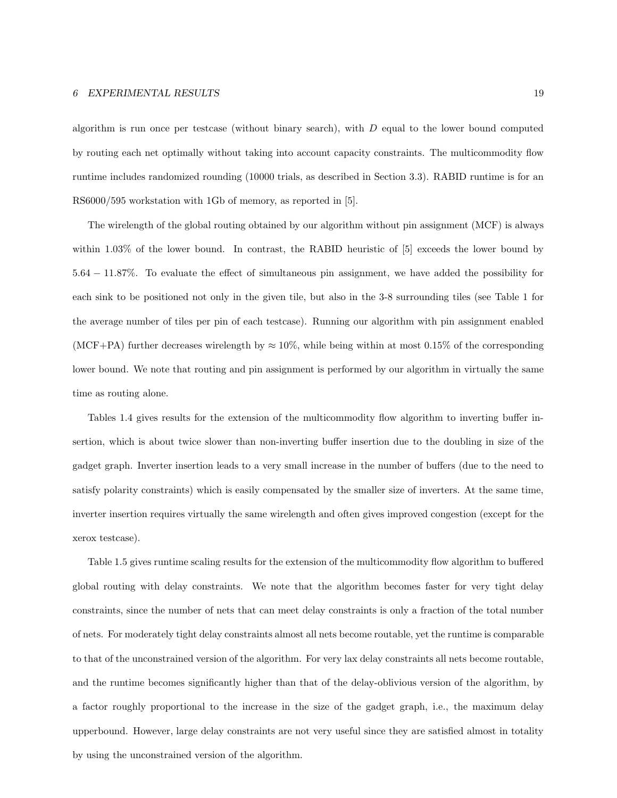#### 6 EXPERIMENTAL RESULTS 19

algorithm is run once per testcase (without binary search), with  $D$  equal to the lower bound computed by routing each net optimally without taking into account capacity constraints. The multicommodity flow runtime includes randomized rounding (10000 trials, as described in Section 3.3). RABID runtime is for an RS6000/595 workstation with 1Gb of memory, as reported in [5].

The wirelength of the global routing obtained by our algorithm without pin assignment (MCF) is always within 1.03% of the lower bound. In contrast, the RABID heuristic of [5] exceeds the lower bound by 5.64 − 11.87%. To evaluate the effect of simultaneous pin assignment, we have added the possibility for each sink to be positioned not only in the given tile, but also in the 3-8 surrounding tiles (see Table 1 for the average number of tiles per pin of each testcase). Running our algorithm with pin assignment enabled (MCF+PA) further decreases wirelength by  $\approx 10\%$ , while being within at most 0.15% of the corresponding lower bound. We note that routing and pin assignment is performed by our algorithm in virtually the same time as routing alone.

Tables 1.4 gives results for the extension of the multicommodity flow algorithm to inverting buffer insertion, which is about twice slower than non-inverting buffer insertion due to the doubling in size of the gadget graph. Inverter insertion leads to a very small increase in the number of buffers (due to the need to satisfy polarity constraints) which is easily compensated by the smaller size of inverters. At the same time, inverter insertion requires virtually the same wirelength and often gives improved congestion (except for the xerox testcase).

Table 1.5 gives runtime scaling results for the extension of the multicommodity flow algorithm to buffered global routing with delay constraints. We note that the algorithm becomes faster for very tight delay constraints, since the number of nets that can meet delay constraints is only a fraction of the total number of nets. For moderately tight delay constraints almost all nets become routable, yet the runtime is comparable to that of the unconstrained version of the algorithm. For very lax delay constraints all nets become routable, and the runtime becomes significantly higher than that of the delay-oblivious version of the algorithm, by a factor roughly proportional to the increase in the size of the gadget graph, i.e., the maximum delay upperbound. However, large delay constraints are not very useful since they are satisfied almost in totality by using the unconstrained version of the algorithm.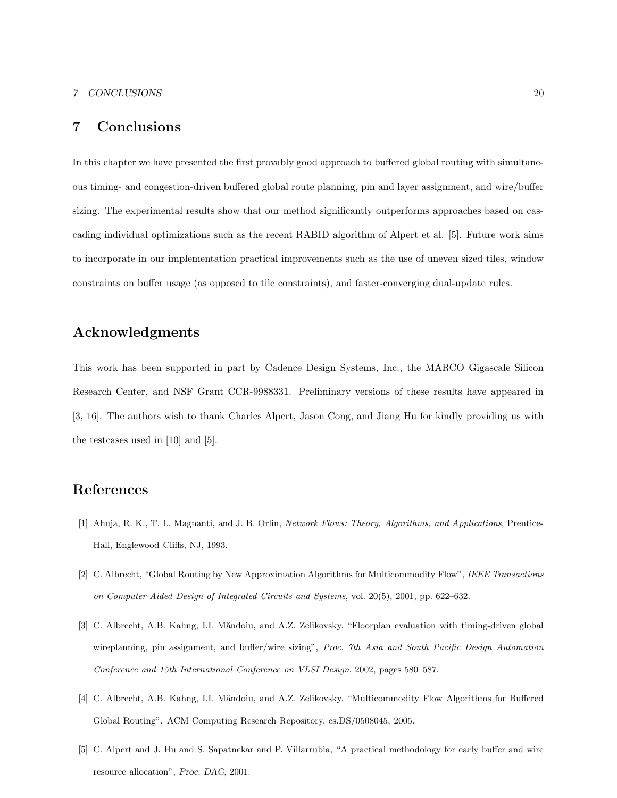#### 7 CONCLUSIONS 20

## 7 Conclusions

In this chapter we have presented the first provably good approach to buffered global routing with simultaneous timing- and congestion-driven buffered global route planning, pin and layer assignment, and wire/buffer sizing. The experimental results show that our method significantly outperforms approaches based on cascading individual optimizations such as the recent RABID algorithm of Alpert et al. [5]. Future work aims to incorporate in our implementation practical improvements such as the use of uneven sized tiles, window constraints on buffer usage (as opposed to tile constraints), and faster-converging dual-update rules.

## Acknowledgments

This work has been supported in part by Cadence Design Systems, Inc., the MARCO Gigascale Silicon Research Center, and NSF Grant CCR-9988331. Preliminary versions of these results have appeared in [3, 16]. The authors wish to thank Charles Alpert, Jason Cong, and Jiang Hu for kindly providing us with the testcases used in [10] and [5].

## References

- [1] Ahuja, R. K., T. L. Magnanti, and J. B. Orlin, Network Flows: Theory, Algorithms, and Applications, Prentice-Hall, Englewood Cliffs, NJ, 1993.
- [2] C. Albrecht, "Global Routing by New Approximation Algorithms for Multicommodity Flow", IEEE Transactions on Computer-Aided Design of Integrated Circuits and Systems, vol. 20(5), 2001, pp. 622–632.
- [3] C. Albrecht, A.B. Kahng, I.I. Măndoiu, and A.Z. Zelikovsky. "Floorplan evaluation with timing-driven global wireplanning, pin assignment, and buffer/wire sizing", Proc. 7th Asia and South Pacific Design Automation Conference and 15th International Conference on VLSI Design, 2002, pages 580–587.
- [4] C. Albrecht, A.B. Kahng, I.I. Măndoiu, and A.Z. Zelikovsky. "Multicommodity Flow Algorithms for Buffered Global Routing", ACM Computing Research Repository, cs.DS/0508045, 2005.
- [5] C. Alpert and J. Hu and S. Sapatnekar and P. Villarrubia, "A practical methodology for early buffer and wire resource allocation", Proc. DAC, 2001.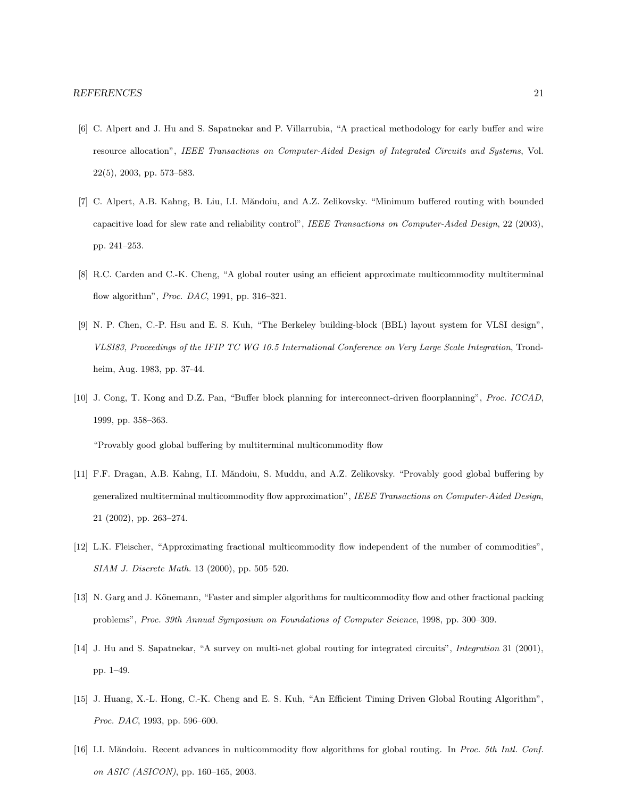- [6] C. Alpert and J. Hu and S. Sapatnekar and P. Villarrubia, "A practical methodology for early buffer and wire resource allocation", IEEE Transactions on Computer-Aided Design of Integrated Circuits and Systems, Vol. 22(5), 2003, pp. 573–583.
- [7] C. Alpert, A.B. Kahng, B. Liu, I.I. Măndoiu, and A.Z. Zelikovsky. "Minimum buffered routing with bounded capacitive load for slew rate and reliability control", IEEE Transactions on Computer-Aided Design, 22 (2003), pp. 241–253.
- [8] R.C. Carden and C.-K. Cheng, "A global router using an efficient approximate multicommodity multiterminal flow algorithm", Proc. DAC, 1991, pp. 316–321.
- [9] N. P. Chen, C.-P. Hsu and E. S. Kuh, "The Berkeley building-block (BBL) layout system for VLSI design", VLSI83, Proceedings of the IFIP TC WG 10.5 International Conference on Very Large Scale Integration, Trondheim, Aug. 1983, pp. 37-44.
- [10] J. Cong, T. Kong and D.Z. Pan, "Buffer block planning for interconnect-driven floorplanning", Proc. ICCAD, 1999, pp. 358–363.

"Provably good global buffering by multiterminal multicommodity flow

- [11] F.F. Dragan, A.B. Kahng, I.I. Măndoiu, S. Muddu, and A.Z. Zelikovsky. "Provably good global buffering by generalized multiterminal multicommodity flow approximation", IEEE Transactions on Computer-Aided Design, 21 (2002), pp. 263–274.
- [12] L.K. Fleischer, "Approximating fractional multicommodity flow independent of the number of commodities", SIAM J. Discrete Math. 13 (2000), pp. 505–520.
- [13] N. Garg and J. Könemann, "Faster and simpler algorithms for multicommodity flow and other fractional packing problems", Proc. 39th Annual Symposium on Foundations of Computer Science, 1998, pp. 300–309.
- [14] J. Hu and S. Sapatnekar, "A survey on multi-net global routing for integrated circuits", Integration 31 (2001), pp. 1–49.
- [15] J. Huang, X.-L. Hong, C.-K. Cheng and E. S. Kuh, "An Efficient Timing Driven Global Routing Algorithm", Proc. DAC, 1993, pp. 596–600.
- [16] I.I. Măndoiu. Recent advances in nulticommodity flow algorithms for global routing. In Proc. 5th Intl. Conf. on ASIC (ASICON), pp. 160–165, 2003.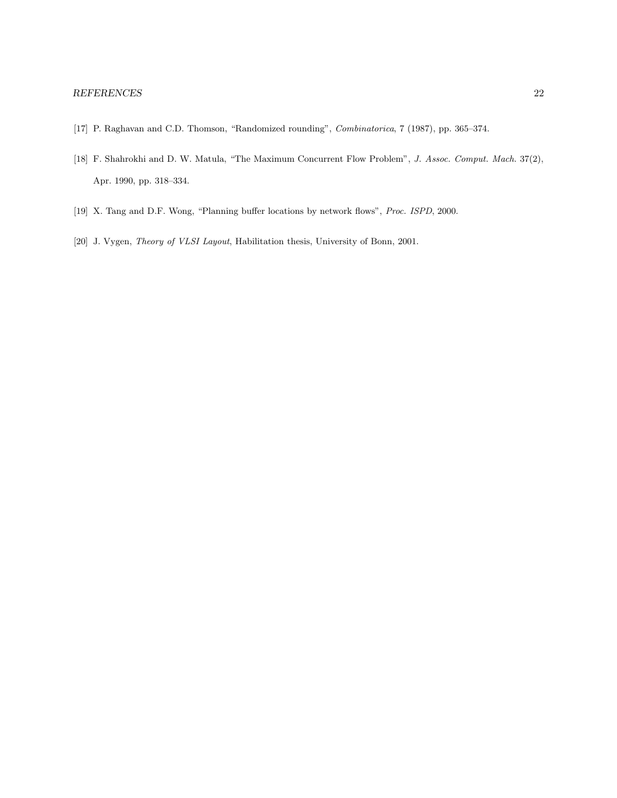- [17] P. Raghavan and C.D. Thomson, "Randomized rounding", Combinatorica, 7 (1987), pp. 365–374.
- [18] F. Shahrokhi and D. W. Matula, "The Maximum Concurrent Flow Problem", J. Assoc. Comput. Mach. 37(2), Apr. 1990, pp. 318–334.
- [19] X. Tang and D.F. Wong, "Planning buffer locations by network flows", Proc. ISPD, 2000.
- [20] J. Vygen, *Theory of VLSI Layout*, Habilitation thesis, University of Bonn, 2001.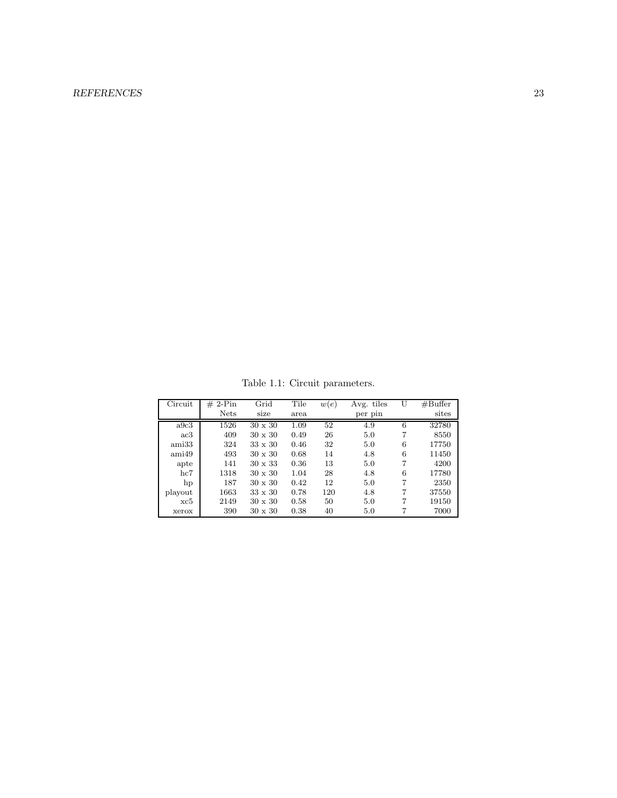## REFERENCES 23

Table 1.1: Circuit parameters.

| Circuit | $2-Pin$<br>$_{\#}$ | Grid           | Tile | w(e) | Avg. tiles |   | #Buffer |
|---------|--------------------|----------------|------|------|------------|---|---------|
|         | <b>Nets</b>        | size           | area |      | per pin    |   | sites   |
| a9c3    | 1526               | $30 \times 30$ | 1.09 | 52   | 4.9        | 6 | 32780   |
| ac3     | 409                | $30 \times 30$ | 0.49 | 26   | 5.0        | 7 | 8550    |
| ami33   | 324                | $33 \times 30$ | 0.46 | 32   | 5.0        | 6 | 17750   |
| ami49   | 493                | $30 \times 30$ | 0.68 | 14   | 4.8        | 6 | 11450   |
| apte    | 141                | $30 \times 33$ | 0.36 | 13   | 5.0        | 7 | 4200    |
| hc7     | 1318               | $30 \times 30$ | 1.04 | 28   | 4.8        | 6 | 17780   |
| hp      | 187                | $30 \times 30$ | 0.42 | 12   | 5.0        | 7 | 2350    |
| playout | 1663               | $33 \times 30$ | 0.78 | 120  | 4.8        | 7 | 37550   |
| xc5     | 2149               | $30 \times 30$ | 0.58 | 50   | 5.0        | 7 | 19150   |
| xerox   | 390                | $30 \times 30$ | 0.38 | 40   | 5.0        |   | 7000    |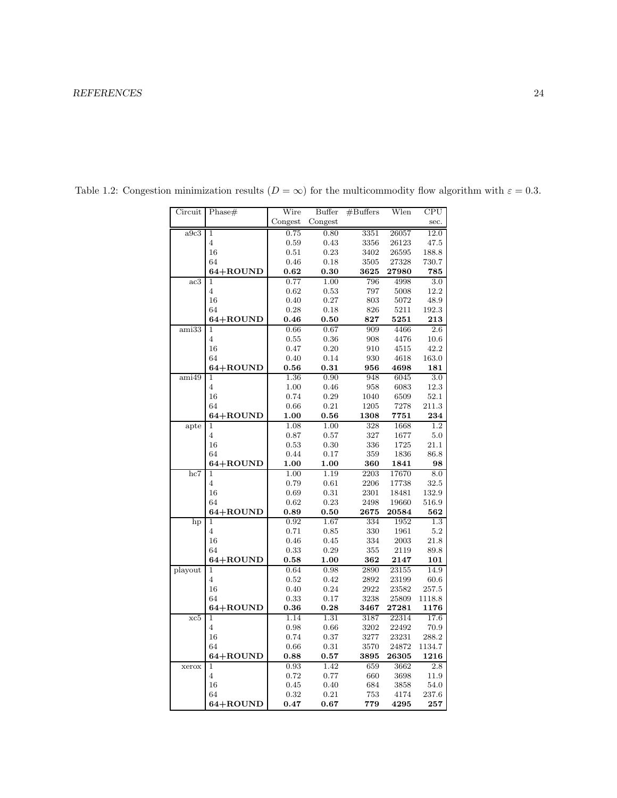| Circuit                   | Phase#         | Wire         | Buffer             | #Buffers            | Wlen           | CPU              |
|---------------------------|----------------|--------------|--------------------|---------------------|----------------|------------------|
|                           |                | Congest      | Congest            |                     |                | sec.             |
| a9c3                      | $\overline{1}$ | 0.75         | 0.80               | 3351                | 26057          | 12.0             |
|                           | $\overline{4}$ | 0.59         | 0.43               | 3356                | 26123          | 47.5             |
|                           | 16             | 0.51         | 0.23               | 3402                | 26595          | 188.8            |
|                           | 64             | 0.46         | 0.18               | 3505                | 27328          | $730.7\,$        |
|                           | 64+ROUND       | 0.62         | 0.30               | 3625                | 27980          | 785              |
| ac3                       | $\mathbf{1}$   | 0.77         | 1.00               | 796                 | 4998           | 3.0              |
|                           | $\overline{4}$ | 0.62         | 0.53               | 797                 | 5008           | 12.2             |
|                           | 16             | 0.40         | 0.27               | 803                 | 5072           | 48.9             |
|                           | 64             | 0.28         | 0.18               | 826                 | 5211           | 192.3            |
|                           | 64+ROUND       | 0.46         | 0.50               | 827                 | 5251           | 213              |
| $\overline{\text{ami33}}$ | $\mathbf{1}$   | 0.66         | 0.67               | 909                 | 4466           | $\overline{2.6}$ |
|                           | 4              | 0.55         | 0.36               | 908                 | 4476           | 10.6             |
|                           | 16             | 0.47         | 0.20               | 910                 | 4515           | 42.2             |
|                           | 64             | 0.40         | 0.14               | 930                 | 4618           | 163.0            |
|                           | 64+ROUND       | $\bf 0.56$   | 0.31               | 956                 | 4698           | 181              |
| ami49                     | $\mathbf{1}$   | 1.36         | 0.90               | 948                 | 6045           | $3.0\,$          |
|                           | 4              | $1.00\,$     | 0.46               | 958                 | 6083           | 12.3             |
|                           | 16             | 0.74         | 0.29               | 1040                | 6509           | 52.1             |
|                           | 64             | 0.66         | 0.21               | 1205                | 7278           | $211.3\,$        |
|                           | 64+ROUND<br>1  | 1.00<br>1.08 | $\bf 0.56$<br>1.00 | ${\bf 1308}$<br>328 | 7751<br>1668   | 234<br>1.2       |
| apte                      | $\overline{4}$ | 0.87         | 0.57               | 327                 | 1677           | 5.0              |
|                           | 16             | 0.53         | 0.30               | 336                 | $1725\,$       | 21.1             |
|                           | 64             | 0.44         | 0.17               | 359                 | 1836           | 86.8             |
|                           | 64+ROUND       | 1.00         | 1.00               | 360                 | 1841           | 98               |
| hc7                       | $\mathbf{1}$   | 1.00         | 1.19               | 2203                | 17670          | 8.0              |
|                           | 4              | 0.79         | 0.61               | 2206                | 17738          | 32.5             |
|                           | 16             | 0.69         | 0.31               | 2301                | 18481          | 132.9            |
|                           | 64             | 0.62         | 0.23               | 2498                | 19660          | 516.9            |
|                           | 64+ROUND       | 0.89         | $\bf 0.50$         | 2675                | 20584          | 562              |
| hp                        | 1              | 0.92         | 1.67               | 334                 | 1952           | 1.3              |
|                           | $\overline{4}$ | 0.71         | 0.85               | 330                 | 1961           | 5.2              |
|                           | 16             | 0.46         | 0.45               | 334                 | 2003           | 21.8             |
|                           | 64             | 0.33         | 0.29               | 355                 | 2119           | 89.8             |
|                           | 64+ROUND       | 0.58         | 1.00               | 362                 | 2147           | 101              |
| playout                   | 1              | 0.64         | 0.98               | 2890                | $23155\,$      | 14.9             |
|                           | $\overline{4}$ | 0.52         | 0.42               | 2892                | 23199          | 60.6             |
|                           | 16             | 0.40         | 0.24               | 2922                | 23582          | $257.5\,$        |
|                           | 64             | 0.33         | 0.17               | 3238                | 25809          | 1118.8           |
|                           | 64+ROUND<br>1  | 0.36         | 0.28               | 3467                | ${\bf 27281}$  | 1176<br>17.6     |
| xc5                       | $\overline{4}$ | 1.14<br>0.98 | 1.31<br>0.66       | 3187<br>3202        | 22314<br>22492 | 70.9             |
|                           | 16             | 0.74         | 0.37               | 3277                | 23231          | 288.2            |
|                           | 64             | 0.66         | 0.31               | 3570                | 24872          | 1134.7           |
|                           | 64+ROUND       | 0.88         | 0.57               | 3895                | 26305          | 1216             |
| xerox                     | 1              | 0.93         | 1.42               | 659                 | 3662           | 2.8              |
|                           | $\overline{4}$ | 0.72         | 0.77               | 660                 | 3698           | 11.9             |
|                           | 16             | 0.45         | 0.40               | 684                 | 3858           | 54.0             |
|                           | 64             | 0.32         | 0.21               | 753                 | 4174           | 237.6            |
|                           | 64+ROUND       | 0.47         | 0.67               | 779                 | 4295           | 257              |

Table 1.2: Congestion minimization results  $(D = \infty)$  for the multicommodity flow algorithm with  $\varepsilon = 0.3$ .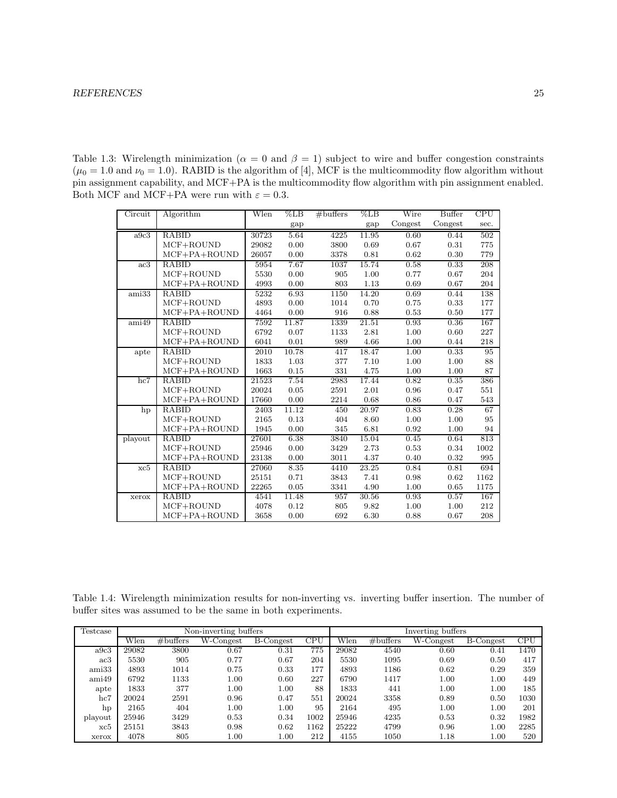Table 1.3: Wirelength minimization ( $\alpha = 0$  and  $\beta = 1$ ) subject to wire and buffer congestion constraints  $(\mu_0 = 1.0 \text{ and } \nu_0 = 1.0)$ . RABID is the algorithm of [4], MCF is the multicommodity flow algorithm without pin assignment capability, and MCF+PA is the multicommodity flow algorithm with pin assignment enabled. Both MCF and MCF+PA were run with  $\varepsilon = 0.3$ .

| Circuit                   | Algorithm          | Wlen  | $\%$ LB | $#$ buffers | $\%LB$ | Wire    | Buffer  | CPU  |
|---------------------------|--------------------|-------|---------|-------------|--------|---------|---------|------|
|                           |                    |       | gap     |             | gap    | Congest | Congest | sec. |
| a9c3                      | <b>RABID</b>       | 30723 | 5.64    | 4225        | 11.95  | 0.60    | 0.44    | 502  |
|                           | MCF+ROUND          | 29082 | 0.00    | 3800        | 0.69   | 0.67    | 0.31    | 775  |
|                           | $MCF + PA + ROUND$ | 26057 | 0.00    | 3378        | 0.81   | 0.62    | 0.30    | 779  |
| ac3                       | RABID              | 5954  | 7.67    | 1037        | 15.74  | 0.58    | 0.33    | 208  |
|                           | MCF+ROUND          | 5530  | 0.00    | 905         | 1.00   | 0.77    | 0.67    | 204  |
|                           | $MCF + PA + ROUND$ | 4993  | 0.00    | 803         | 1.13   | 0.69    | 0.67    | 204  |
| ami33                     | RABID              | 5232  | 6.93    | 1150        | 14.20  | 0.69    | 0.44    | 138  |
|                           | $MCF+ROUND$        | 4893  | 0.00    | 1014        | 0.70   | 0.75    | 0.33    | 177  |
|                           | $MCF + PA + ROUND$ | 4464  | 0.00    | 916         | 0.88   | 0.53    | 0.50    | 177  |
| $\overline{\text{ami}49}$ | <b>RABID</b>       | 7592  | 11.87   | 1339        | 21.51  | 0.93    | 0.36    | 167  |
|                           | $MCF+ROUND$        | 6792  | 0.07    | 1133        | 2.81   | 1.00    | 0.60    | 227  |
|                           | $MCF + PA + ROUND$ | 6041  | 0.01    | 989         | 4.66   | 1.00    | 0.44    | 218  |
| apte                      | RABID              | 2010  | 10.78   | 417         | 18.47  | 1.00    | 0.33    | 95   |
|                           | $MCF+ROUND$        | 1833  | 1.03    | 377         | 7.10   | 1.00    | 1.00    | 88   |
|                           | $MCF + PA + ROUND$ | 1663  | 0.15    | 331         | 4.75   | 1.00    | 1.00    | 87   |
| hc7                       | RABID              | 21523 | 7.54    | 2983        | 17.44  | 0.82    | 0.35    | 386  |
|                           | $MCF+ROUND$        | 20024 | 0.05    | 2591        | 2.01   | 0.96    | 0.47    | 551  |
|                           | $MCF + PA + ROUND$ | 17660 | 0.00    | 2214        | 0.68   | 0.86    | 0.47    | 543  |
| hp                        | RABID              | 2403  | 11.12   | 450         | 20.97  | 0.83    | 0.28    | 67   |
|                           | MCF+ROUND          | 2165  | 0.13    | 404         | 8.60   | 1.00    | 1.00    | 95   |
|                           | $MCF + PA + ROUND$ | 1945  | 0.00    | 345         | 6.81   | 0.92    | 1.00    | 94   |
| playout                   | RABID              | 27601 | 6.38    | 3840        | 15.04  | 0.45    | 0.64    | 813  |
|                           | MCF+ROUND          | 25946 | 0.00    | 3429        | 2.73   | 0.53    | 0.34    | 1002 |
|                           | $MCF + PA + ROUND$ | 23138 | 0.00    | 3011        | 4.37   | 0.40    | 0.32    | 995  |
| xc5                       | RABID              | 27060 | 8.35    | 4410        | 23.25  | 0.84    | 0.81    | 694  |
|                           | MCF+ROUND          | 25151 | 0.71    | 3843        | 7.41   | 0.98    | 0.62    | 1162 |
|                           | $MCF + PA + ROUND$ | 22265 | 0.05    | 3341        | 4.90   | 1.00    | 0.65    | 1175 |
| xerox                     | <b>RABID</b>       | 4541  | 11.48   | 957         | 30.56  | 0.93    | 0.57    | 167  |
|                           | $MCF+ROUND$        | 4078  | 0.12    | 805         | 9.82   | 1.00    | 1.00    | 212  |
|                           | $MCF + PA + ROUND$ | 3658  | 0.00    | 692         | 6.30   | 0.88    | 0.67    | 208  |

Table 1.4: Wirelength minimization results for non-inverting vs. inverting buffer insertion. The number of buffer sites was assumed to be the same in both experiments.

| Testcase | Non-inverting buffers |             |                    |            |      | Inverting buffers |             |              |            |      |
|----------|-----------------------|-------------|--------------------|------------|------|-------------------|-------------|--------------|------------|------|
|          | Wlen                  | $#$ buffers | $W\text{-}Congest$ | B-Congest  | CPU  | Wlen              | $#$ buffers | $W$ -Congest | B-Congest  | CPU  |
| a9c3     | 29082                 | 3800        | $\rm 0.67$         | $\rm 0.31$ | 775  | 29082             | 4540        | 0.60         | $\rm 0.41$ | 1470 |
| ac3      | 5530                  | 905         | 0.77               | 0.67       | 204  | 5530              | 1095        | 0.69         | 0.50       | 417  |
| ami33    | 4893                  | 1014        | 0.75               | 0.33       | 177  | 4893              | 1186        | 0.62         | 0.29       | 359  |
| ami49    | 6792                  | 1133        | 1.00               | 0.60       | 227  | 6790              | 1417        | 1.00         | 1.00       | 449  |
| apte     | 1833                  | 377         | 1.00               | $1.00\,$   | 88   | 1833              | 441         | 1.00         | $1.00\,$   | 185  |
| hc7      | 20024                 | 2591        | 0.96               | 0.47       | 551  | 20024             | 3358        | 0.89         | 0.50       | 1030 |
| hp       | 2165                  | 404         | 1.00               | $1.00\,$   | 95   | 2164              | 495         | 1.00         | $1.00\,$   | 201  |
| playout  | 25946                 | 3429        | 0.53               | 0.34       | 1002 | 25946             | 4235        | 0.53         | 0.32       | 1982 |
| xc5      | 25151                 | 3843        | 0.98               | 0.62       | 1162 | 25222             | 4799        | 0.96         | 1.00       | 2285 |
| xerox    | 4078                  | 805         | $1.00\,$           | $1.00\,$   | 212  | 4155              | 1050        | 1.18         | $1.00\,$   | 520  |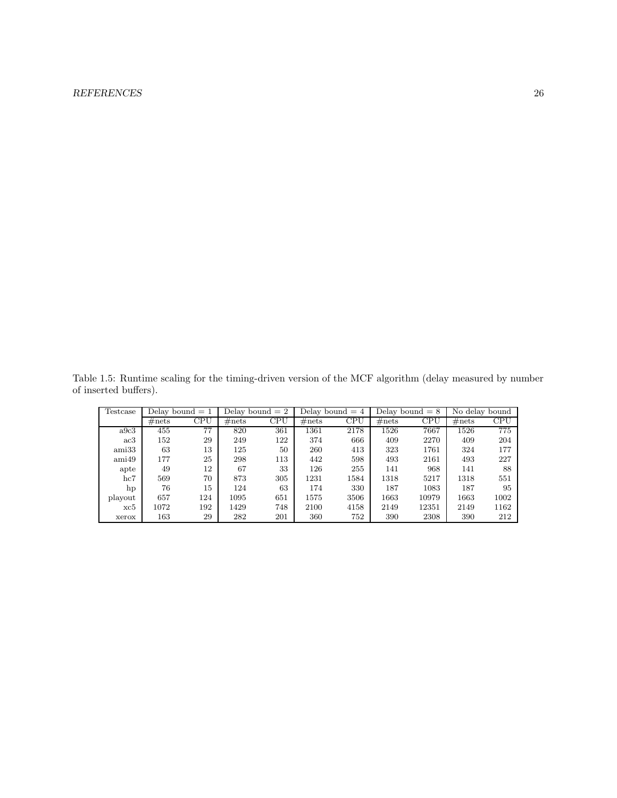## REFERENCES 26

Table 1.5: Runtime scaling for the timing-driven version of the MCF algorithm (delay measured by number of inserted buffers).

| Testcase | Delay bound $= 1$ |     | Delay bound $= 2$ |                         | Delay bound $= 4$ |      | Delay bound $= 8$ |              | No delay bound |      |
|----------|-------------------|-----|-------------------|-------------------------|-------------------|------|-------------------|--------------|----------------|------|
|          | $\#nets$          | CPU | $\#nets$          | $\overline{\text{CPU}}$ | $\#nets$          | CPU  | $\#nets$          | $_{\rm CPU}$ | #nets          | CPU  |
| a9c3     | 455               | 77  | 820               | 361                     | 1361              | 2178 | 1526              | 7667         | 1526           | 775  |
| ac3      | 152               | 29  | 249               | 122                     | 374               | 666  | 409               | 2270         | 409            | 204  |
| ami33    | 63                | 13  | 125               | 50                      | 260               | 413  | 323               | 1761         | 324            | 177  |
| ami49    | 177               | 25  | 298               | 113                     | 442               | 598  | 493               | 2161         | 493            | 227  |
| apte     | 49                | 12  | 67                | 33                      | 126               | 255  | 141               | 968          | 141            | 88   |
| hc7      | 569               | 70  | 873               | 305                     | 1231              | 1584 | 1318              | 5217         | 1318           | 551  |
| hp       | 76                | 15  | 124               | 63                      | 174               | 330  | 187               | 1083         | 187            | 95   |
| playout  | 657               | 124 | 1095              | 651                     | 1575              | 3506 | 1663              | 10979        | 1663           | 1002 |
| xc5      | 1072              | 192 | 1429              | 748                     | 2100              | 4158 | 2149              | 12351        | 2149           | 1162 |
| xerox    | 163               | 29  | 282               | 201                     | 360               | 752  | 390               | 2308         | 390            | 212  |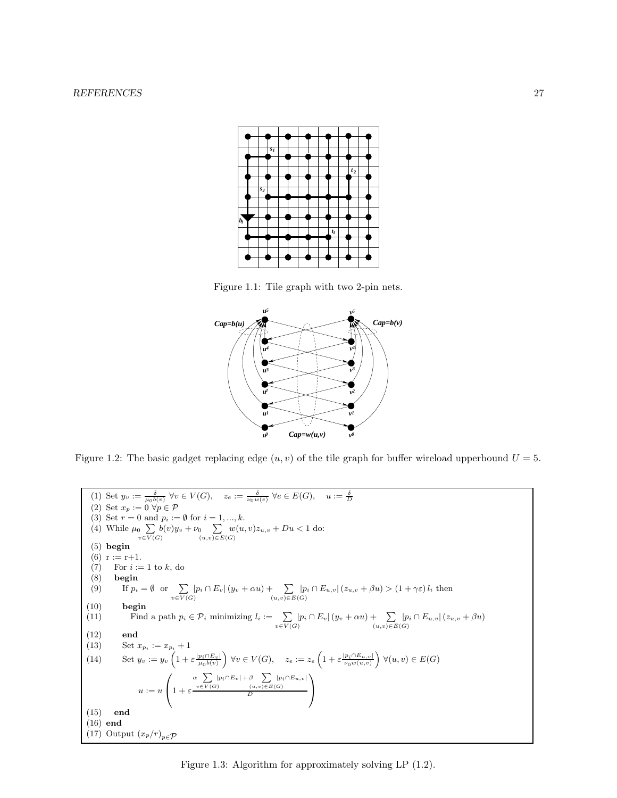

Figure 1.1: Tile graph with two 2-pin nets.



Figure 1.2: The basic gadget replacing edge  $(u, v)$  of the tile graph for buffer wireload upperbound  $U = 5$ .

(1) Set  $y_v := \frac{\delta}{\mu_0 b(v)} \ \forall v \in V(G), \quad z_e := \frac{\delta}{\nu_0 w(e)} \ \forall e \in E(G), \quad u := \frac{\delta}{D}$ <br>(2) Set  $x_p := 0 \ \forall p \in \mathcal{P}$ (3) Set  $r = 0$  and  $p_i := \emptyset$  for  $i = 1, ..., k$ . (4) While  $\mu_0 \sum_{v \in V(G)} b(v) y_v + \nu_0 \sum_{(u,v) \in E(G)} w(u, v) z_{u,v} + Du < 1$  do: (5) begin (6)  $r := r+1$ . (7) For  $i := 1$  to  $k$ , do (8) begin (8) begin<br>(9) If  $p_i$ (9) If  $p_i = \emptyset$  or  $\sum_{v \in V(G)} |p_i \cap E_v| (y_v + \alpha u) + \sum_{(u,v) \in E(G)} |p_i \cap E_{u,v}| (z_{u,v} + \beta u) > (1 + \gamma \varepsilon) l_i$  then  $(10) \qquad \textbf{begin}$ (11) Find a path  $p_i \in \mathcal{P}_i$  minimizing  $l_i := \sum_{v \in V(G)} |p_i \cap E_v| (y_v + \alpha u) + \sum_{(u,v) \in E(G)} |p_i \cap E_{u,v}| (z_{u,v} + \beta u)$ (12) end (13) Set  $x_{p_i} := x_{p_i} + 1$ (14) Set  $y_v := y_v \left( 1 + \varepsilon \frac{|p_i \cap E_v|}{\mu_0 b(v)} \right) \forall v \in V(G), \quad z_e := z_e \left( 1 + \varepsilon \frac{|p_i \cap E_{u,v}|}{\nu_0 w(u,v)} \right) \forall (u, v) \in E(G)$  $u := u$  $\sqrt{ }$  $1 + \varepsilon$  $\alpha \sum_{v \in V(G)} |p_i \cap E_v| + \beta \sum_{(u,v) \in E(G)} |p_i \cap E_{u,v}|$ D  $\setminus$  $\overline{1}$ (15) end (16) end (17) Output  $(x_p/r)_{p \in \mathcal{P}}$ 

Figure 1.3: Algorithm for approximately solving LP (1.2).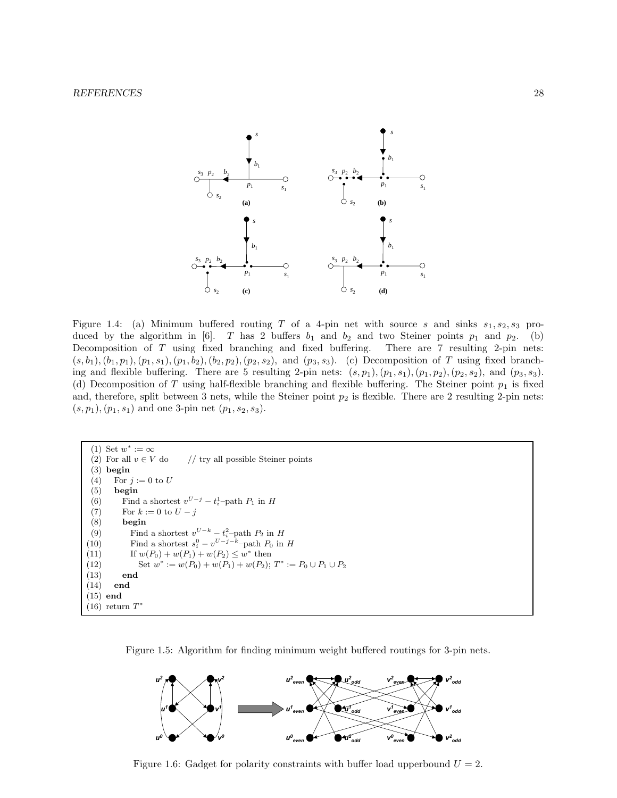

Figure 1.4: (a) Minimum buffered routing T of a 4-pin net with source s and sinks  $s_1, s_2, s_3$  produced by the algorithm in [6]. T has 2 buffers  $b_1$  and  $b_2$  and two Steiner points  $p_1$  and  $p_2$ . (b) Decomposition of T using fixed branching and fixed buffering. There are 7 resulting 2-pin nets:  $(s, b_1), (b_1, p_1), (p_1, s_1), (p_1, b_2), (b_2, p_2), (p_2, s_2),$  and  $(p_3, s_3)$ . (c) Decomposition of T using fixed branching and flexible buffering. There are 5 resulting 2-pin nets:  $(s, p_1), (p_1, s_1), (p_1, p_2), (p_2, s_2),$  and  $(p_3, s_3)$ . (d) Decomposition of T using half-flexible branching and flexible buffering. The Steiner point  $p_1$  is fixed and, therefore, split between 3 nets, while the Steiner point  $p_2$  is flexible. There are 2 resulting 2-pin nets:  $(s, p_1), (p_1, s_1)$  and one 3-pin net  $(p_1, s_2, s_3)$ .

```
(1) Set w^* := \infty(2) For all v \in V do \qquad // try all possible Steiner points
 (3) begin
 (4) For j := 0 to U
 (5) begin
 (6) Find a shortest v^{U-j} - t_i^1-path P_1 in H
 (7) For k := 0 to U - j(8) begin
 (9) Find a shortest v^{U-k} - t_i^2-path P_2 in H
(10) Find a shortest s_i^0 - v^{U-j-k}-path P_0 in H
(11) If w(P_0) + w(P_1) + w(P_2) \leq w^* then
(12) Set w^* := w(P_0) + w(P_1) + w(P_2); T^* := P_0 \cup P_1 \cup P_2(13) end
(14) end
(15) end
(16) return T^*
```




Figure 1.6: Gadget for polarity constraints with buffer load upperbound  $U = 2$ .